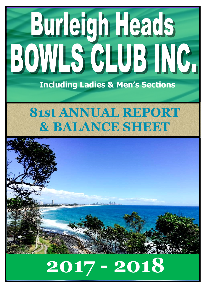# Burleigh Heads BOWLS GLUB INC.

**Including Ladies & Men's Sections**

# **81st ANNUAL REPORT & BALANCE SHEET**



# **2017 - 2018**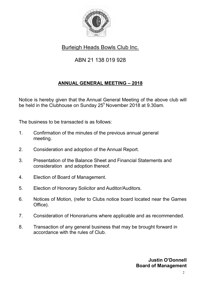

Burleigh Heads Bowls Club Inc.

# ABN 21 138 019 928

#### **ANNUAL GENERAL MEETING – 2018**

Notice is hereby given that the Annual General Meeting of the above club will be held in the Clubhouse on Sunday  $25<sup>h</sup>$  November 2018 at 9.30am.

The business to be transacted is as follows:

- 1. Confirmation of the minutes of the previous annual general meeting.
- 2. Consideration and adoption of the Annual Report.
- 3. Presentation of the Balance Sheet and Financial Statements and consideration and adoption thereof.
- 4. Election of Board of Management.
- 5. Election of Honorary Solicitor and Auditor/Auditors.
- 6. Notices of Motion, (refer to Clubs notice board located near the Games Office).
- 7. Consideration of Honorariums where applicable and as recommended.
- 8. Transaction of any general business that may be brought forward in accordance with the rules of Club.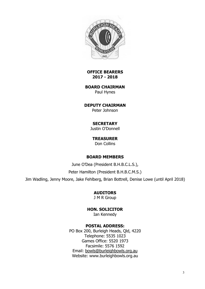

**OFFICE BEARERS 2017 - 2018** 

**BOARD CHAIRMAN**  Paul Hynes

**DEPUTY CHAIRMAN**  Peter Johnson

#### **SECRETARY**

Justin O'Donnell

**TREASURER**  Don Collins

#### **BOARD MEMBERS**

June O'Dea (President B.H.B.C.L.S.),

Peter Hamilton (President B.H.B.C.M.S.)

Jim Wadling, Jenny Moore, Jake Fehlberg, Brian Bottrell, Denise Lowe (until April 2018)

**AUDITORS** 

J M R Group

**HON. SOLICITOR**  Ian Kennedy

#### **POSTAL ADDRESS:**

PO Box 200, Burleigh Heads, Qld, 4220 Telephone: 5535 1023 Games Office: 5520 1973 Facsimile: 5576 1592 Email: [bowls@burleighbowls.org.au](mailto:bowls@burleighbowls.org.au)  Website: www.burleighbowls.org.au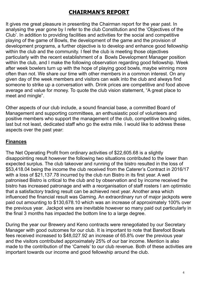# **CHAIRMAN'S REPORT**

It gives me great pleasure in presenting the Chairman report for the year past. In analysing the year gone by I refer to the club Constitution and the 'Objectives of the Club'. In addition to providing facilities and activities for the social and competitive playing of the game of Bowls, the development of the game and the provision of development programs, a further objective is to develop and enhance good fellowship within the club and the community. I feel the club is meeting those objectives particularly with the recent establishment of a Bowls Development Manager position within the club, and I make the following observation regarding good fellowship. Week after week bowlers turn up with the hope of playing good bowls, maybe winning more often than not. We share our time with other members in a common interest. On any given day of the week members and visitors can walk into the club and always find someone to strike up a conversation with. Drink prices are competitive and food above average and value for money. To quote the club vision statement, "A great place to meet and mingle".

Other aspects of our club include, a sound financial base, a committed Board of Management and supporting committees, an enthusiastic pool of volunteers and positive members who support the management of the club, competitive bowling sides, last but not least, dedicated staff who go the extra mile. I would like to address these aspects over the past year:

#### **Finances**

The Net Operating Profit from ordinary activities of \$22,605.68 is a slightly disappointing result however the following two situations contributed to the lower than expected surplus. The club takeover and running of the bistro resulted in the loss of \$53,418.04 being the income the club received from the Caterer's Contract in 2016/17 with a loss of \$21,137.78 incurred by the club run Bistro in its first year. A well patronised Bistro is critical to the club and by observation and by income received the bistro has increased patronage and with a reorganisation of staff rosters I am optimistic that a satisfactory trading result can be achieved next year. Another area which influenced the financial result was Gaming. An extraordinary run of major jackpots were paid out amounting to \$130,678.10 which was an increase of approximately 100% over the previous year. Jackpot wins are inevitable however so many paid out particularly in the final 3 months has impacted the bottom line to a large degree.

During the year our Brewery and Keno contracts were renegotiated by our Secretary Manager with good outcomes for our club. It is important to note that Barefoot Bowls fees received increased to \$48,027.92 an increase of 65.8% over the previous year and the visitors contributed approximately 25% of our bar income. Mention is also made to the contribution of the 'Camels' to our club revenue. Both of these activities are important towards our income and good fellowship around the club.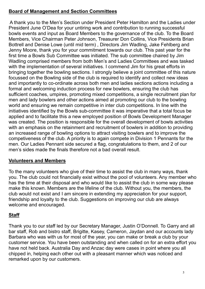#### **Board of Management and Section Committees**

 A thank you to the Men's Section under President Peter Hamilton and the Ladies under President June O'Dea for your untiring work and contribution to running successful bowls events and input as Board Members to the governance of the club. To the Board Members, Vice Chairman Peter Johnson, Treasurer Don Collins, Vice Presidents Brian Bottrell and Denise Lowe (until mid term) , Directors Jim Wadling, Jake Fehlberg and Jenny Moore, thank you for your commitment towards our club. This past year for the first time a Bowls Sub Committee was initiated. The sub committee chaired by Jim Wadling comprised members from both Men's and Ladies Committees and was tasked with the implementation of several initiatives. I commend Jim for his great efforts in bringing together the bowling sections. I strongly believe a joint committee of this nature focussed on the Bowling side of the club is required to identify and collect new ideas and importantly to co-ordinate across both men and ladies sections actions including a formal and welcoming induction process for new bowlers, ensuring the club has sufficient coaches, umpires, promoting mixed competitions, a single recruitment plan for men and lady bowlers and other actions aimed at promoting our club to the bowling world and ensuring we remain competitive in inter club competitions. In line with the initiatives identified by the Bowls sub-committee it was imperative that a total focus be applied and to facilitate this a new employed position of Bowls Development Manager was created. The position is responsible for the overall development of bowls activities with an emphasis on the retainment and recruitment of bowlers in addition to providing an increased range of bowling options to attract visiting bowlers and to improve the competiveness of the club. A priority is to again compete in Division 1 Pennants for the men. Our Ladies Pennant side secured a flag, congratulations to them, and 2 of our men's sides made the finals therefore not a bad overall result.

#### **Volunteers and Members**

To the many volunteers who give of their time to assist the club in many ways, thank you. The club could not financially exist without the pool of volunteers. Any member who has the time at their disposal and who would like to assist the club in some way please make this known. Members are the lifeline of the club. Without you, the members, the club would not exist and I am sincere in extending my appreciation for your support, friendship and loyalty to the club. Suggestions on improving our club are always welcome and encouraged.

#### **Staff**

Thank you to our staff led by our Secretary Manager, Justin O'Donnell. To Garry and all bar staff, Rob and bistro staff, Brigitte, Kasey, Cameron, Jaydan and our accounts lady Barbara who was with us for most of the year, you can make or break a club by your customer service. You have been outstanding and when called on for an extra effort you have not held back. Australia Day and Anzac day were cases in point where you all chipped in, helping each other out with a pleasant manner which was noticed and remarked upon by our customers.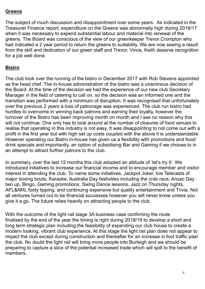#### **Greens**

The subject of much discussion and disappointment over some years. As indicated in the Treasurer Finance report, expenditure on the Greens was abnormally high during 2016/17 when it was necessary to expend substantial labour and material into renewal of the greens. The Board was conscious of the view of our greenkeeper Trevor Crompton who had indicated a 2 year period to return the greens to suitability. We are now seeing a result from the skill and dedication of our green staff and Trevor, Vince, Keith deserve recognition for a job well done.

#### **Bistro**

The club took over the running of the bistro in December 2017 with Rob Stevens appointed as the head chef. The in-house administration of the bistro was a unanimous decision of the Board. At the time of the decision we had the experience of our new club Secretary Manager in the field of catering to call on, so the decision was an informed one and the transition was performed with a minimum of disruption. It was recognised that unfortunately over the previous 2 years a loss of patronage was experienced. The club run bistro had hurdles to overcome in winning back patrons and earning their loyalty, however the turnover of the Bistro has been improving month on month and I see no reason why this will not continue. One only has to look around at the number of closures of food venues to realise that operating in this industry is not easy. It was disappointing to not come out with a profit in the first year but with high set up costs coupled with the above it is understandable. However operating our Bistro in-house has given us a flexibility with promotions and food/ drink specials and importantly, an option of subsidising Bar and Gaming if we choose to in an attempt to attract further patrons to the club.

In summary, over the last 12 months this club adopted an attitude of 'let's try it'. We introduced initiatives to increase our financial income and to encourage member and visitor interest in attending the club. To name some initiatives, Jackpot Joker, live Telecasts of major boxing bouts, Karaoke, Australia Day festivities including the crab race, Anzac Day two up, Bingo, Gaming promotions, Swing Dance lessons, Jazz on Thursday nights, AFL&NRL footy tipping, and continuing expensive but quality entertainment and Trivia. Not all ventures turned out to be financial successes however you will never know unless you give it a go. The future relies heavily on attracting people to the club.

With the outcome of the light rail stage 3A business case confirming the route finalised by the end of the year the timing is right during 2018/19 to develop a short and long term strategic plan including the feasibility of expanding our club house to create a modern looking, vibrant club experience. At this stage the light rail plan does not appear to impact the club except during construction and thereafter for an increase in foot traffic past the club. No doubt the light rail will bring more people into Burleigh and we should be preparing to capture a slice of the potential increased trade which will spill to the benefit of members.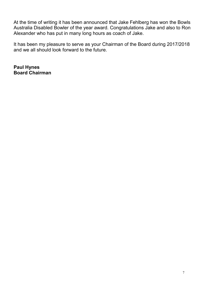At the time of writing it has been announced that Jake Fehlberg has won the Bowls Australia Disabled Bowler of the year award. Congratulations Jake and also to Ron Alexander who has put in many long hours as coach of Jake.

It has been my pleasure to serve as your Chairman of the Board during 2017/2018 and we all should look forward to the future.

**Paul Hynes Board Chairman**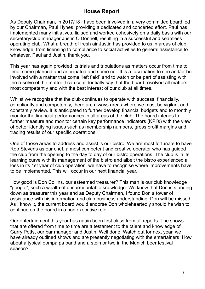#### **House Report**

As Deputy Chairman, in 2017/18 I have been involved in a very committed board led by our Chairman, Paul Hynes, providing a dedicated and concerted effort. Paul has implemented many initiatives, liaised and worked cohesively on a daily basis with our secretary/club manager Justin O'Donnell, resulting in a successful and seamless operating club. What a breath of fresh air Justin has provided to us in areas of club knowledge, from licensing to compliance to social activities to general assistance to whatever. Paul and Justin, thank you.

This year has again provided its trials and tribulations as matters occur from time to time, some planned and anticipated and some not. It is a fascination to see and/or be involved with a matter that come "left field" and to watch or be part of assisting with the resolve of the matter. I can confidentially say that the board resolved all matters most competently and with the best interest of our club at all times.

Whilst we recognise that the club continues to operate with success, financially, compliantly and competently, there are always areas where we must be vigilant and constantly review. It is anticipated to further develop financial budgets and to monthly monitor the financial performances in all areas of the club. The board intends to further measure and monitor certain key performance indicators (KPI's) with the view of better identifying issues such as membership numbers, gross profit margins and trading results of our specific operations.

One of those areas to address and assist is our bistro. We are most fortunate to have Rob Stevens as our chef, a most competent and creative operator who has guided the club from the opening to the day to day of our bistro operations. The club is in its learning curve with its management of the bistro and albeit the bistro experienced a loss in its 1st year of club operation, we have to recognise where improvements have to be implemented. This will occur in our next financial year.

How good is Don Collins, our esteemed treasurer? This man is our club knowledge "google", such a wealth of unsurmountable knowledge. We know that Don is standing down as treasurer this year and as Deputy Chairman, I found Don a tower of assistance with his information and club business understanding. Don will be missed. As I know it, the current board would endorse Don wholeheartedly should he wish to continue on the board in a non executive role.

Our entertainment this year has again been first class from all reports. The shows that are offered from time to time are a testament to the talent and knowledge of Garry Potts, our bar manager and Justin. Well done. Watch out for next year, we have already outlined shows and are presently negotiating with the entertainers. How about a typical oompa pa band and a stein or two in the Munich beer festival season?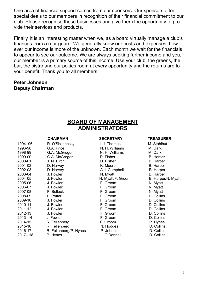One area of financial support comes from our sponsors. Our sponsors offer special deals to our members in recognition of their financial commitment to our club. Please recognise these businesses and give them the opportunity to provide their services and products.

Finally, it is an interesting matter when we, as a board virtually manage a club's finances from a rear guard. We generally know our costs and expenses, however our income is more of the unknown. Each month we wait for the financials to appear to see our outcome. We are always seeking further income and you, our member is a primary source of this income. Use your club, the greens, the bar, the bistro and our pokies room at every opportunity and the returns are to your benefit. Thank you to all members.

#### **Peter Johnson Deputy Chairman**

|             |                        | <b>BOARD OF MANAGEMENT</b> |                    |
|-------------|------------------------|----------------------------|--------------------|
|             |                        | <b>ADMINISTRATORS</b>      |                    |
|             |                        |                            |                    |
|             | <b>CHAIRMAN</b>        | <b>SECRETARY</b>           | <b>TREASURER</b>   |
| 1994 - 96   | R. O'Shannessy         | L.J. Thomas                | M. Stahlhut        |
| 1996-98     | G.A. Price             | N. H. Williams             | M. Dark            |
| 1998-99     | G.A. McGregor          | N. H. Williams             | M. Dark            |
| 1999-00     | G.A. McGregor          | D. Fisher                  | <b>B.</b> Harper   |
| 2000-01     | J. N. Birch            | D. Fisher                  | <b>B.</b> Harper   |
| 2001-02     | D. Harvey              | K. Moore                   | <b>B.</b> Harper   |
| 2002-03     | D. Harvey              | A.J. Campbell              | <b>B.</b> Harper   |
| 2003-04     | J. Fowler              | N. Myatt                   | <b>B.</b> Harper   |
| 2004-05     | J. Fowler              | N. Myatt/F. Groom          | B. Harper/N. Myatt |
| 2005-06     | J. Fowler              | F. Groom                   | N. Myatt           |
| 2006-07     | J. Fowler              | F. Groom                   | N. Myatt           |
| 2007-08     | F. Bullock             | F. Groom                   | N. Myatt           |
| 2008-09     | L. Potter              | F. Groom                   | D. Collins         |
| 2009-10     | J. Fowler              | F. Groom                   | D. Collins         |
| 2010-11     | J. Fowler              | F. Groom                   | D. Collins         |
| 2011-12     | J. Fowler              | F. Groom                   | D. Collins         |
| 2012-13     | J. Fowler              | F. Groom                   | D. Collins         |
| 2013-14     | J. Fowler              | F. Groom                   | D. Collins         |
| 2014-15     | R. Fellenberg          | F. Groom                   | P. Hynes           |
| 2015-16     | R. Fellenberg          | N. Hodges                  | D. Collins         |
| 2016-17     | R. Fellenberg/P. Hynes | P. Johnson                 | D. Collins         |
| $2017 - 18$ | P. Hynes               | J. O'Donnell               | D. Collins         |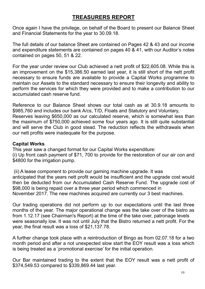#### **TREASURERS REPORT**

Once again I have the privilege, on behalf of the Board to present our Balance Sheet and Financial Statements for the year to 30.09.18.

The full details of our balance Sheet are contained on Pages 42 & 43 and our income and expenditure statements are contained on pages 40 & 41, with our Auditor's notes contained on pages 50, 51 & 22.

For the year under review our Club achieved a nett profit of \$22,605.08. While this is an improvement on the \$15,386.50 earned last year, it is still short of the nett profit necessary to ensure funds are available to provide a Capital Works programme to maintain our Assets to the standard necessary to ensure their longevity and ability to perform the services for which they were provided and to make a contribution to our accumulated cash reserve fund.

Reference to our Balance Sheet shows our total cash as at 30.9.18 amounts to \$985,760 and includes our bank A/cs, T/D, Floats and Statutory and Voluntary, Reserves leaving \$650,000 as our calculated reserve, which is somewhat less than the maximum of \$750,000 achieved some four years ago. It is still quite substantial and will serve the Club in good stead. The reduction reflects the withdrawals when our nett profits were inadequate for the purpose.

#### **Capital Works**

This year saw a changed format for our Capital Works expenditure: (i) Up front cash payment of \$71, 700 to provide for the restoration of our air con and \$4800 for the irrigation pump.

 (ii) A lease component to provide our gaming machine upgrade. It was anticipated that the years nett profit would be insufficient and the upgrade cost would then be deducted from our Accumulated Cash Reserve Fund. The upgrade cost of \$98,000 is being repaid over a three year period which commenced in November 2017. The new machines acquired are currently our 3 best machines.

Our trading operations did not perform up to our expectations until the last three months of the year. The major operational change was the take over of the bistro as from 1.12.17 (see Chairman's Report) at the time of the take over, patronage levels were seasonally low. It was not until July that the Bistro returned a nett profit. For the year, the final result was a loss of \$21,137.78.

A further change took place with a reintroduction of Bingo as from 02.07.18 for a two month period and after a not unexpected slow start the EOY result was a loss which is being treated as a 'promotional exercise' for the initial operation.

Our Bar maintained trading to the extent that the EOY result was a nett profit of \$374,549.53 compared to \$339,869.44 last year.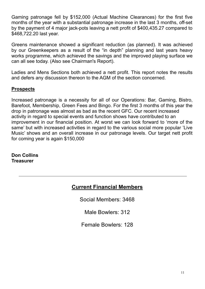Gaming patronage fell by \$152,000 (Actual Machine Clearances) for the first five months of the year with a substantial patronage increase in the last 3 months, off-set by the payment of 4 major jack-pots leaving a nett profit of \$400,435.27 compared to \$468,722.20 last year.

Greens maintenance showed a significant reduction (as planned). It was achieved by our Greenkeepers as a result of the "in depth" planning and last years heavy works programme, which achieved the savings and the improved playing surface we can all see today. (Also see Chairman's Report).

Ladies and Mens Sections both achieved a nett profit. This report notes the results and defers any discussion thereon to the AGM of the section concerned.

#### **Prospects**

Increased patronage is a necessity for all of our Operations: Bar, Gaming, Bistro, Barefoot, Membership, Green Fees and Bingo. For the first 3 months of this year the drop in patronage was almost as bad as the recent GFC. Our recent increased activity in regard to special events and function shows have contributed to an improvement in our financial position. At worst we can look forward to 'more of the same' but with increased activities in regard to the various social more popular 'Live Music' shows and an overall increase in our patronage levels. Our target nett profit for coming year is again \$150,000

**Don Collins Treasurer** 

### **Current Financial Members**

Social Members: 3468

Male Bowlers: 312

Female Bowlers: 128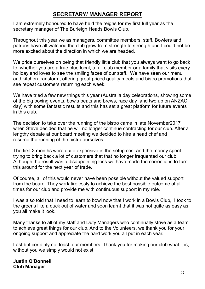### **SECRETARY/ MANAGER REPORT**

I am extremely honoured to have held the reigns for my first full year as the secretary manager of The Burleigh Heads Bowls Club.

Throughout this year we as managers, committee members, staff, Bowlers and patrons have all watched the club grow from strength to strength and I could not be more excited about the direction in which we are headed.

We pride ourselves on being that friendly little club that you always want to go back to, whether you are a true blue local, a full club member or a family that visits every holiday and loves to see the smiling faces of our staff. We have seen our menu and kitchen transform, offering great priced quality meals and bistro promotions that see repeat customers returning each week.

We have tried a few new things this year (Australia day celebrations, showing some of the big boxing events, bowls beats and brews, race day and two up on ANZAC day) with some fantastic results and this has set a great platform for future events in this club.

The decision to take over the running of the bistro came in late November2017 when Steve decided that he will no longer continue contracting for our club. After a lengthy debate at our board meeting we decided to hire a head chef and resume the running of the bistro ourselves.

The first 3 months were quite expensive in the setup cost and the money spent trying to bring back a lot of customers that that no longer frequented our club. Although the result was a disappointing loss we have made the corrections to turn this around for the next year of trade.

Of course, all of this would never have been possible without the valued support from the board. They work tirelessly to achieve the best possible outcome at all times for our club and provide me with continuous support in my role.

I was also told that I need to learn to bowl now that I work in a Bowls Club, I took to the greens like a duck out of water and soon learnt that it was not quite as easy as you all make it look.

Many thanks to all of my staff and Duty Managers who continually strive as a team to achieve great things for our club. And to the Volunteers, we thank you for your ongoing support and appreciate the hard work you all put in each year.

Last but certainly not least, our members. Thank you for making our club what it is, without you we simply would not exist.

**Justin O'Donnell Club Manager**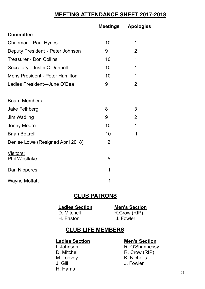# **MEETING ATTENDANCE SHEET 2017-2018**

|                                        | Meetings       | <b>Apologies</b> |  |
|----------------------------------------|----------------|------------------|--|
| <b>Committee</b>                       |                |                  |  |
| Chairman - Paul Hynes                  | 10             | 1                |  |
| Deputy President - Peter Johnson       | 9              | $\overline{2}$   |  |
| <b>Treasurer - Don Collins</b>         | 10             | 1                |  |
| Secretary - Justin O'Donnell           | 10             | 1                |  |
| <b>Mens President - Peter Hamilton</b> | 10             | 1                |  |
| Ladies President-June O'Dea            | 9              | 2                |  |
| <b>Board Members</b>                   |                |                  |  |
| <b>Jake Felhberg</b>                   | 8              | 3                |  |
| <b>Jim Wadling</b>                     | 9              | $\overline{2}$   |  |
| Jenny Moore                            | 10             | 1                |  |
| <b>Brian Bottrell</b>                  | 10             | 1                |  |
| Denise Lowe (Resigned April 2018)1     | $\overline{2}$ |                  |  |
| Visitors:<br><b>Phil Westlake</b>      | 5              |                  |  |
| Dan Nipperes                           | 1              |                  |  |
| <b>Wayne Moffatt</b>                   | 1              |                  |  |

### **CLUB PATRONS**

H. Easton

**Ladies Section**<br>
D. Mitchell **D.** Mitchell **D.** Mitchell **D.** Mitchell **D.** Mitchell **D.** Mitchell **P.** Mitchell **P.** Mitchell **P.** Mitchell **P.** Mitchell **P.** Mitchell **P.** Mitchell **P.** Mitchell **P.** Mitchell **P.** Mitch R.Crow (RIP)<br>J. Fowler

#### **CLUB LIFE MEMBERS**

M. Toovey J. Gill J. Fowler H. Harris

# **Ladies Section**<br> **1. Johnson**<br> **R. O'Shanness'**

R. O'Shannessy D. Mitchell **R. Crow (RIP)**<br>
M. Toovev **R. Crow (RIP)**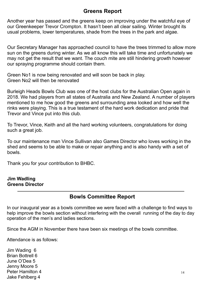#### **Greens Report**

Another year has passed and the greens keep on improving under the watchful eye of our Greenkeeper Trevor Crompton. It hasn't been all clear sailing. Winter brought its usual problems, lower temperatures, shade from the trees in the park and algae.

Our Secretary Manager has approached council to have the trees trimmed to allow more sun on the greens during winter. As we all know this will take time and unfortunately we may not get the result that we want. The couch mite are still hindering growth however our spraying programme should contain them.

Green No1 is now being renovated and will soon be back in play. Green No2 will then be renovated

Burleigh Heads Bowls Club was one of the host clubs for the Australian Open again in 2018. We had players from all states of Australia and New Zealand. A number of players mentioned to me how good the greens and surrounding area looked and how well the rinks were playing. This is a true testament of the hard work dedication and pride that Trevor and Vince put into this club.

To Trevor, Vince, Keith and all the hard working volunteers, congratulations for doing such a great job.

To our maintenance man Vince Sullivan also Games Director who loves working in the shed and seems to be able to make or repair anything and is also handy with a set of bowls.

Thank you for your contribution to BHBC.

#### **Jim Wadling Greens Director**

#### **Bowls Committee Report**

In our inaugural year as a bowls committee we were faced with a challenge to find ways to help improve the bowls section without interfering with the overall running of the day to day operation of the men's and ladies sections.

Since the AGM in November there have been six meetings of the bowls committee.

Attendance is as follows:

Jim Wading 6 Brian Bottrell 6 June O'Dea 5 Jenny Moore 5 Peter Hamilton 4 Jake Fehlberg 4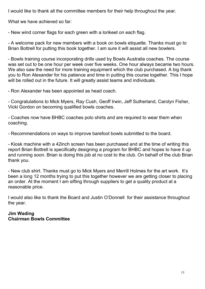I would like to thank all the committee members for their help throughout the year.

What we have achieved so far:

- New wind corner flags for each green with a lorikeet on each flag.

- A welcome pack for new members with a book on bowls etiquette. Thanks must go to Brian Bottrell for putting this book together. I am sure it will assist all new bowlers.

- Bowls training course incorporating drills used by Bowls Australia coaches. The course was set out to be one hour per week over five weeks. One hour always became two hours. We also saw the need for more training equipment which the club purchased. A big thank you to Ron Alexander for his patience and time in putting this course together. This I hope will be rolled out in the future. It will greatly assist teams and individuals.

- Ron Alexander has been appointed as head coach.

- Congratulations to Mick Myers, Ray Cush, Geoff Irwin, Jeff Sutherland, Carolyn Fisher, Vicki Gordon on becoming qualified bowls coaches.

- Coaches now have BHBC coaches polo shirts and are required to wear them when coaching.

- Recommendations on ways to improve barefoot bowls submitted to the board.

- Kiosk machine with a 42inch screen has been purchased and at the time of writing this report Brian Bottrell is specifically designing a program for BHBC and hopes to have it up and running soon. Brian is doing this job at no cost to the club. On behalf of the club Brian thank you.

- New club shirt. Thanks must go to Mick Myers and Merrill Holmes for the art work. It's been a long 12 months trying to put this together however we are getting closer to placing an order. At the moment I am sifting through suppliers to get a quality product at a reasonable price.

I would also like to thank the Board and Justin O'Donnell for their assistance throughout the year.

#### **Jim Wading Chairman Bowls Committee**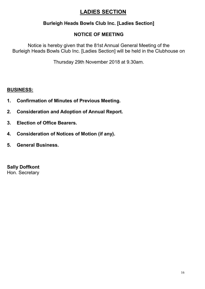# **LADIES SECTION**

#### **Burleigh Heads Bowls Club Inc. [Ladies Section]**

#### **NOTICE OF MEETING**

Notice is hereby given that the 81st Annual General Meeting of the Burleigh Heads Bowls Club Inc. [Ladies Section] will be held in the Clubhouse on

Thursday 29th November 2018 at 9.30am.

#### **BUSINESS:**

- **1. Confirmation of Minutes of Previous Meeting.**
- **2. Consideration and Adoption of Annual Report.**
- **3. Election of Office Bearers.**
- **4. Consideration of Notices of Motion (if any).**
- **5. General Business.**

**Sally Doffkont** Hon. Secretary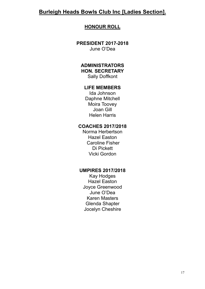#### **Burleigh Heads Bowls Club Inc [Ladies Section].**

#### **HONOUR ROLL**

**PRESIDENT 2017-2018** June O'Dea

#### **ADMINISTRATORS HON. SECRETARY**

Sally Doffkont

#### **LIFE MEMBERS**

Ida Johnson Daphne Mitchell Moira Toovey Joan Gill Helen Harris

#### **COACHES 2017/2018**

Norma Herbertson Hazel Easton Caroline Fisher Di Pickett Vicki Gordon

#### **UMPIRES 2017/2018**

Kay Hodges Hazel Easton Joyce Greenwood June O'Dea Karen Masters Glenda Shapter Jocelyn Cheshire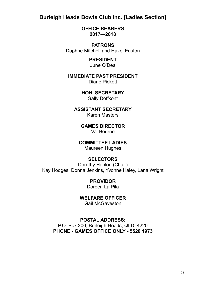#### **Burleigh Heads Bowls Club Inc. [Ladies Section]**

**OFFICE BEARERS 2017—2018**

**PATRONS** Daphne Mitchell and Hazel Easton

> **PRESIDENT** June O'Dea

**IMMEDIATE PAST PRESIDENT**

Diane Pickett

**HON. SECRETARY** Sally Doffkont

**ASSISTANT SECRETARY** Karen Masters

> **GAMES DIRECTOR** Val Bourne

**COMMITTEE LADIES**

Maureen Hughes

#### **SELECTORS**

Dorothy Hanlon (Chair) Kay Hodges, Donna Jenkins, Yvonne Haley, Lana Wright

> **PROVIDOR**  Doreen La Pila

**WELFARE OFFICER**

Gail McGaveston

**POSTAL ADDRESS:**

P.O. Box 200, Burleigh Heads, QLD, 4220 **PHONE - GAMES OFFICE ONLY - 5520 1973**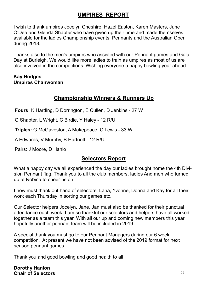# **UMPIRES REPORT**

I wish to thank umpires Jocelyn Cheshire, Hazel Easton, Karen Masters, June O'Dea and Glenda Shapter who have given up their time and made themselves available for the ladies Championship events, Pennants and the Australian Open during 2018.

Thanks also to the men's umpires who assisted with our Pennant games and Gala Day at Burleigh. We would like more ladies to train as umpires as most of us are also involved in the competitions. Wishing everyone a happy bowling year ahead.

#### **Kay Hodges Umpires Chairwoman**

# **Championship Winners & Runners Up**

**Fours:** K Harding, D Dorrington, E Cullen, D Jenkins - 27 W

G Shapter, L Wright, C Birdie, Y Haley - 12 R/U

**Triples:** G McGaveston, A Makepeace, C Lewis - 33 W

A Edwards, V Murphy, B Hartnett - 12 R/U

Pairs: J Moore, D Hanlo

#### **Selectors Report**

What a happy day we all experienced the day our ladies brought home the 4th Division Pennant flag. Thank you to all the club members, ladies And men who turned up at Robina to cheer us on.

I now must thank out hand of selectors, Lana, Yvonne, Donna and Kay for all their work each Thursday in sorting our games etc.

Our Selector helpers Jocelyn, Jane, Jan must also be thanked for their punctual attendance each week. I am so thankful our selectors and helpers have all worked together as a team this year. With all our up and coming new members this year hopefully another pennant team will be included in 2019.

A special thank you must go to our Pennant Managers during our 6 week competition. At present we have not been advised of the 2019 format for next season pennant games.

Thank you and good bowling and good health to all

**Dorothy Hanlon Chair of Selectors**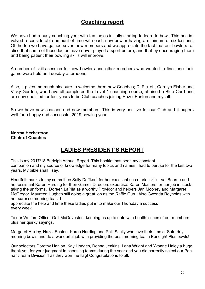#### **Coaching report**

We have had a busy coaching year with ten ladies initially starting to learn to bowl. This has involved a considerable amount of time with each new bowler having a minimum of six lessons. Of the ten we have gained seven new members and we appreciate the fact that our bowlers realise that some of these ladies have never played a sport before, and that by encouraging them and being patient their bowling skills will improve.

A number of skills session for new bowlers and other members who wanted to fine tune their game were held on Tuesday afternoons.

Also, it gives me much pleasure to welcome three new Coaches; Di Pickett, Carolyn Fisher and Vicky Gordon, who have all completed the Level 1 coaching course, attained a Blue Card and are now qualified for four years to be Club coaches joining Hazel Easton and myself.

So we have new coaches and new members. This is very positive for our Club and it augers well for a happy and successful 2019 bowling year.

#### **Norma Herbertson Chair of Coaches**

#### **LADIES PRESIDENT'S REPORT**

This is my 2017/18 Burleigh Annual Report. This booklet has been my constant companion and my source of knowledge for many topics and names I had to peruse for the last two years. My bible shall I say.

Heartfelt thanks to my committee Sally Doffkont for her excellent secretarial skills. Val Bourne and her assistant Karen Harding for their Games Directors expertise. Karen Masters for her job in stocktaking the uniforms. Doreen LaPila as a worthy Providor and helpers Jan Mooney and Margaret McGregor. Maureen Hughes still doing a great job as the Raffle Guru. Also Gwenda Reynolds with her surprise morning teas. I

appreciate the help and time these ladies put in to make our Thursday a success every week.

To our Welfare Officer Gail McGaveston, keeping us up to date with health issues of our members plus her quirky sayings.

Margaret Huxley, Hazel Easton, Karen Harding and Phill Scully who love their time at Saturday morning bowls and do a wonderful job with providing the best morning tea in Burleigh! Plus bowls!

Our selectors Dorothy Hanlon, Kay Hodges, Donna Jenkins, Lana Wright and Yvonne Haley a huge thank you for your judgment in choosing teams during the year and you did correctly select our Pennant Team Division 4 as they won the flag! Congratulations to all.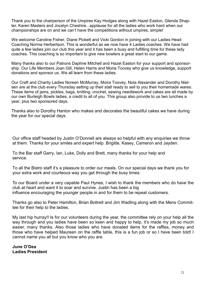Thank you to the chairperson of the Umpires Kay Hodges along with Hazel Easton, Glenda Shapter, Karen Masters and Jocelyn Cheshire...applause for all the ladies who work hard when our championships are on and we can't have the competitions without umpires, simple!

We welcome Caroline Fisher, Diane Pickett and Vicki Gordon in joining with our Ladies Head Coaching Norma Herbertson. This is wonderful as we now have 4 Ladies coaches. We have had quite a few ladies join our club this year and it has been a busy and fulfilling time for these lady coaches. This coaching is so important to give new bowlers a great start to our game.

Many thanks also to our Patrons Daphne Mitchell and Hazel Easton for your support and sponsorship. Our Life Members Joan Gill, Helen Harris and Moria Toovey who give us knowledge, support donations and sponsor us. We all learn from these ladies.

Our Craft and Charity Ladies Noreen McMurray, Moira Toovey, Nola Alexander and Dorothy Nielsen are at the club every Thursday setting up their stall ready to sell to you their homemade wares. These items of jams, pickles, bags, knitting, crochet, sewing needlework and cakes are all made by our own Burleigh Bowls ladies, a credit to all of you. This group also provide to us two lunches a year, plus two sponsored days.

Thanks also to Dorothy Hanlon who makes and decorates the beautiful cakes we have during the year for our special days.

Our office staff headed by Justin O'Donnell are always so helpful with any enquiries we throw at them. Thanks for your smiles and expert help. Brigitte, Kasey, Cameron and Jayden.

To the Bar staff Garry, Ian, Luke, Dolly and Brett, many thanks for your help and service.

To all the Bistro staff it's a pleasure to order our meals. On our special days we thank you for your extra work and courteous way you get through the busy times.

To our Board under a very capable Paul Hynes, I wish to thank the members who do have the club at heart and want it to soar and survive. Justin has been a big influence encouraging the younger people in and for them to be repeat customers.

Thanks go also to Peter Hamilton, Brian Bottrell and Jim Wadling along with the Mens Committee for their help to the ladies.

My last hip hurray!! Is for our volunteers during the year, the committee rely on your help all the way through and you ladies have been so keen and happy to help, it's made my job so much easier, many thanks. Also those ladies who have donated items for the raffles, money and those who have helped Maureen on the raffle table, this is a fun job or so I have been told! I cannot name you all but you know who you are.

**June O'Dea Ladies President**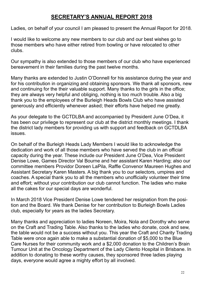#### **SECRETARY'S ANNUAL REPORT 2018**

Ladies, on behalf of your council I am pleased to present the Annual Report for 2018.

I would like to welcome any new members to our club and our best wishes go to those members who have either retired from bowling or have relocated to other clubs.

Our sympathy is also extended to those members of our club who have experienced bereavement in their families during the past twelve months.

Many thanks are extended to Justin O'Donnell for his assistance during the year and for his contribution in organizing and obtaining sponsors. We thank all sponsors, new and continuing for the their valuable support. Many thanks to the girls in the office; they are always very helpful and obliging, nothing is too much trouble. Also a big thank you to the employees of the Burleigh Heads Bowls Club who have assisted generously and efficiently whenever asked; their efforts have helped me greatly.

As your delegate to the GCTDLBA and accompanied by President June O'Dea, it has been our privilege to represent our club at the district monthly meetings. I thank the district lady members for providing us with support and feedback on GCTDLBA issues.

On behalf of the Burleigh Heads Lady Members I would like to acknowledge the dedication and work of all those members who have served the club in an official capacity during the year. These include our President June O'Dea, Vice President Denise Lowe, Games Director Val Bourne and her assistant Karen Harding; also our committee members Providor Doreen LaPila, Raffle Convenor Maureen Hughes and Assistant Secretary Karen Masters. A big thank you to our selectors, umpires and coaches. A special thank you to all the members who unofficially volunteer their time and effort; without your contribution our club cannot function. The ladies who make all the cakes for our special days are wonderful.

In March 2018 Vice President Denise Lowe tendered her resignation from the position and the Board. We thank Denise for her contribution to Burleigh Bowls Ladies club, especially for years as the ladies Secretary.

Many thanks and appreciation to ladies Noreen, Moira, Nola and Dorothy who serve on the Craft and Trading Table. Also thanks to the ladies who donate, cook and sew, the table would not be a success without you. This year the Craft and Charity Trading Table were once again able to make a substantial donation of \$5,000 to the Blue Care Nurses for their community work and a \$2,000 donation to the Children's Brain Tumour Unit at the Oncology Department of the Lady Cilento Hospital in Brisbane. In addition to donating to these worthy causes, they sponsored three ladies playing days, everyone would agree a mighty effort by all involved.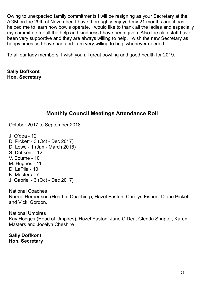Owing to unexpected family commitments I will be resigning as your Secretary at the AGM on the 29th of November. I have thoroughly enjoyed my 21 months and it has helped me to learn how bowls operate. I would like to thank all the ladies and especially my committee for all the help and kindness I have been given. Also the club staff have been very supportive and they are always willing to help. I wish the new Secretary as happy times as I have had and I am very willing to help whenever needed.

To all our lady members, I wish you all great bowling and good health for 2019.

**Sally Doffkont Hon. Secretary**

# **Monthly Council Meetings Attendance Roll**

October 2017 to September 2018

J. O'dea - 12 D. Pickett - 3 (Oct - Dec 2017) D. Lowe - 1 (Jan - March 2018) S. Doffkont - 12 V. Bourne - 10 M. Hughes - 11 D. LaPila - 10 K. Masters - 7 J. Gabriel - 3 (Oct - Dec 2017)

National Coaches Norma Herbertson (Head of Coaching), Hazel Easton, Carolyn Fisher., Diane Pickett and Vicki Gordon.

National Umpires Kay Hodges (Head of Umpires), Hazel Easton, June O'Dea, Glenda Shapter, Karen Masters and Jocelyn Cheshire

**Sally Doffkont Hon. Secretary**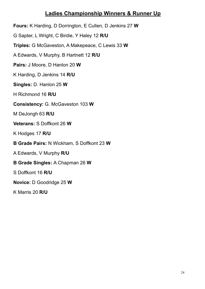#### **Ladies Championship Winners & Runner Up**

**Fours:** K Harding, D Dorrington, E Cullen, D Jenkins 27 **W**

G Sapter, L Wright, C Birdie, Y Haley 12 **R/U**

**Triples:** G McGaveston, A Makepeace, C Lewis 33 **W**

A Edwards, V Murphy, B Hartnett 12 **R/U**

**Pairs:** J Moore, D Hanlon 20 **W**

K Harding, D Jenkins 14 **R/U**

**Singles:** D. Hanlon 25 **W**

H Richmond 16 **R/U**

**Consistency:** G. McGaveston 103 **W**

M DeJongh 63 **R/U**

**Veterans:** S Doffkont 26 **W**

K Hodges 17 **R/U**

**B Grade Pairs:** N Wickham, S Doffkont 23 **W**

A Edwards, V Murphy **R/U**

**B Grade Singles:** A Chapman 26 **W**

S Doffkont 16 **R/U**

**Novice:** D Goodridge 25 **W**

K Marris 20 **R/U**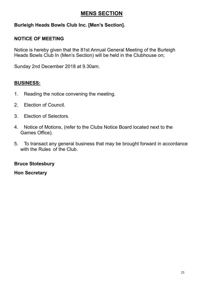# **MENS SECTION**

#### **Burleigh Heads Bowls Club Inc. [Men's Section].**

#### **NOTICE OF MEETING**

Notice is hereby given that the 81st Annual General Meeting of the Burleigh Heads Bowls Club In (Men's Section) will be held in the Clubhouse on;

Sunday 2nd December 2018 at 9.30am.

#### **BUSINESS:**

- 1. Reading the notice convening the meeting.
- 2. Election of Council.
- 3. Election of Selectors.
- 4. Notice of Motions, (refer to the Clubs Notice Board located next to the Games Office).
- 5. To transact any general business that may be brought forward in accordance with the Rules of the Club.

#### **Bruce Stotesbury**

#### **Hon Secretary**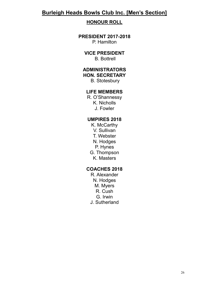#### **Burleigh Heads Bowls Club Inc. [Men's Section]**

#### **HONOUR ROLL**

#### **PRESIDENT 2017-2018** P. Hamilton

#### **VICE PRESIDENT**

B. Bottrell

#### **ADMINISTRATORS**

**HON. SECRETARY**

B. Stotesbury

#### **LIFE MEMBERS**

R. O'Shannessy K. Nicholls J. Fowler

#### **UMPIRES 2018**

K. McCarthy V. Sullivan T. Webster N. Hodges P. Hynes G. Thompson K. Masters

#### **COACHES 2018**

R. Alexander N. Hodges M. Myers R. Cush G. Irwin J. Sutherland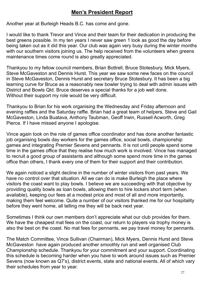### **Men's President Report**

Another year at Burleigh Heads B.C. has come and gone.

I would like to thank Trevor and Vince and their team for their dedication in producing the best greens possible. In my ten years I never saw green 1 look as good the day before being taken out as it did this year. Our club was again very busy during the winter months with our southern visitors joining us. The help received from the volunteers when greens maintenance times come round is also greatly appreciated.

Thankyou to my fellow council members, Brian Bottrell, Bruce Stotesbury, Mick Myers, Steve McGaveston and Dennis Hurst. This year we saw some new faces on the council in Steve McGaveston, Dennis Hurst and secretary Bruce Stotesbury. It has been a big learning curve for Bruce as a reasonably new bowler trying to deal with admin issues with District and Bowls Qld. Bruce deserves a special thanks for a job well done. Without their support my role would be very difficult.

Thankyou to Brian for his work organising the Wednesday and Friday afternoon and evening raffles and the Saturday raffle. Brian had a great team of helpers, Steve and Gail McGaveston, Linda Buatava, Anthony Taubman, Geoff Irwin, Russell Acworth, Greg Pierce. If I have missed anyone I apologise.

Vince again took on the role of games office coordinator and has done another fantastic job organising bowls day workers for the games office, social bowls, championship games and integrating Premier Sevens and pennants. It is not until people spend some time in the games office that they realise how much work is involved. Vince has managed to recruit a good group of assistants and although some spend more time in the games office than others, I thank every one of them for their support and their contribution.

We again noticed a slight decline in the number of winter visitors from past years. We have no control over that situation. All we can do is make Burleigh the place where visitors the coast want to play bowls. I believe we are succeeding with that objective by providing quality bowls as loan bowls, allowing them to hire lockers short term (when available), keeping our fees at a modest price and most of all and more importantly, making them feel welcome. Quite a number of our visitors thanked me for our hospitality before they went home, all telling me they will be back next year.

Sometimes I think our own members don't appreciate what our club provides for them. We have the cheapest mat fees on the coast, our return to players via trophy money is also the best on the coast. No mat fees for pennants, we pay travel money for pennants.

The Match Committee, Vince Sullivan (Chairman), Mick Myers, Dennis Hurst and Steve McGaveston have again produced another smoothly run and well organised Club Championship schedule. Thankyou for your commitment and your support. Coordinating this schedule is becoming harder when you have to work around issues such as Premier Sevens (now known as Q7's), district events, state and national events. All of which vary their schedules from year to year.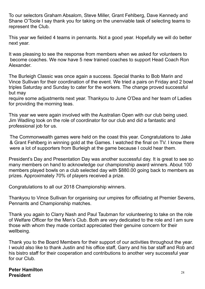To our selectors Graham Absalom, Steve Miller, Grant Fehlberg, Dave Kennedy and Shane O'Toole I say thank you for taking on the unenviable task of selecting teams to represent the Club.

This year we fielded 4 teams in pennants. Not a good year. Hopefully we will do better next year.

It was pleasing to see the response from members when we asked for volunteers to become coaches. We now have 5 new trained coaches to support Head Coach Ron Alexander.

The Burleigh Classic was once again a success. Special thanks to Bob Marin and Vince Sullivan for their coordination of the event. We tried a pairs on Friday and 2 bowl triples Saturday and Sunday to cater for the workers. The change proved successful but may

require some adjustments next year. Thankyou to June O'Dea and her team of Ladies for providing the morning teas.

This year we were again involved with the Australian Open with our club being used. Jim Wadling took on the role of coordinator for our club and did a fantastic and professional job for us.

The Commonwealth games were held on the coast this year. Congratulations to Jake & Grant Fehlberg in winning gold at the Games. I watched the final on TV. I know there were a lot of supporters from Burleigh at the game because I could hear them.

President's Day and Presentation Day was another successful day. It is great to see so many members on hand to acknowledge our championship award winners. About 100 members played bowls on a club selected day with \$880.00 going back to members as prizes. Approximately 70% of players received a prize.

Congratulations to all our 2018 Championship winners.

Thankyou to Vince Sullivan for organising our umpires for officiating at Premier Sevens, Pennants and Championship matches.

Thank you again to Clarry Nash and Paul Taubman for volunteering to take on the role of Welfare Officer for the Men's Club. Both are very dedicated to the role and I am sure those with whom they made contact appreciated their genuine concern for their wellbeing.

Thank you to the Board Members for their support of our activities throughout the year. I would also like to thank Justin and his office staff, Garry and his bar staff and Rob and his bistro staff for their cooperation and contributions to another very successful year for our Club.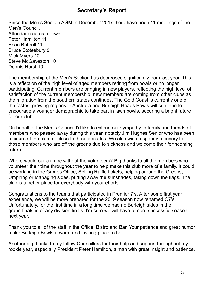#### **Secretary's Report**

Since the Men's Section AGM in December 2017 there have been 11 meetings of the Men's Council. Attendance is as follows: Peter Hamilton 11 Brian Bottrell 11 Bruce Stotesbury 9 Mick Myers 10 Steve McGaveston 10 Dennis Hurst 10

The membership of the Men's Section has decreased significantly from last year. This is a reflection of the high level of aged members retiring from bowls or no longer participating. Current members are bringing in new players, reflecting the high level of satisfaction of the current membership; new members are coming from other clubs as the migration from the southern states continues. The Gold Coast is currently one of the fastest growing regions in Australia and Burleigh Heads Bowls will continue to encourage a younger demographic to take part in lawn bowls, securing a bright future for our club.

On behalf of the Men's Council I'd like to extend our sympathy to family and friends of members who passed away during this year, notably Jim Hughes Senior who has been a fixture at the club for close to three decades. We also wish a speedy recovery to those members who are off the greens due to sickness and welcome their forthcoming return.

Where would our club be without the volunteers? Big thanks to all the members who volunteer their time throughout the year to help make this club more of a family. It could be working in the Games Office, Selling Raffle tickets; helping around the Greens, Umpiring or Managing sides, putting away the sunshades, taking down the flags. The club is a better place for everybody with your efforts.

Congratulations to the teams that participated in Premier 7's. After some first year experience, we will be more prepared for the 2019 season now renamed Q7's. Unfortunately, for the first time in a long time we had no Burleigh sides in the grand finals in of any division finals. I'm sure we will have a more successful season next year.

Thank you to all of the staff in the Office, Bistro and Bar. Your patience and great humor make Burleigh Bowls a warm and inviting place to be.

Another big thanks to my fellow Councillors for their help and support throughout my rookie year, especially President Peter Hamilton, a man with great insight and patience.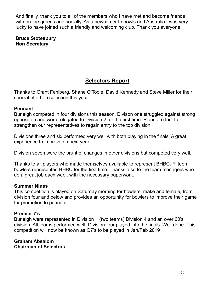And finally, thank you to all of the members who I have met and become friends with on the greens and socially. As a newcomer to bowls and Australia I was very lucky to have joined such a friendly and welcoming club. Thank you everyone.

#### **Bruce Stotesbury Hon Secretary**

# **Selectors Report**

Thanks to Grant Fehlberg, Shane O'Toole, David Kennedy and Steve Miller for their special effort on selection this year.

#### **Pennant**

Burleigh competed in four divisions this season. Divison one struggled against strong opposition and were relegated to Division 2 for the first time. Plans are fast to strengthen our representatives to regain entry to the top division.

Divisions three and six performed very well with both playing in the finals. A great experience to improve on next year.

Division seven were the brunt of changes in other divisions but competed very well.

Thanks to all players who made themselves available to represent BHBC. Fifteen bowlers represented BHBC for the first time. Thanks also to the team managers who do a great job each week with the necessary paperwork.

#### **Summer Nines**

This competition is played on Saturday morning for bowlers, make and female, from division four and below and provides an opportunity for bowlers to improve their game for promotion to pennant.

#### **Premier 7's**

Burleigh were represented in Division 1 (two teams) Division 4 and an over 60's division. All teams performed well. Division four played into the finals. Well done. This competition will now be known as Q7's to be played in Jan/Feb 2019

**Graham Absalom Chairman of Selectors**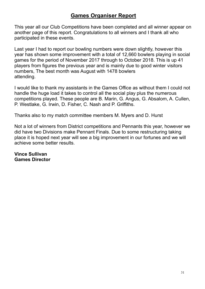#### **Games Organiser Report**

This year all our Club Competitions have been completed and all winner appear on another page of this report. Congratulations to all winners and I thank all who participated in these events.

Last year I had to report our bowling numbers were down slightly, however this year has shown some improvement with a total of 12,660 bowlers playing in social games for the period of November 2017 through to October 2018. This is up 41 players from figures the previous year and is mainly due to good winter visitors numbers, The best month was August with 1478 bowlers attending.

I would like to thank my assistants in the Games Office as without them I could not handle the huge load it takes to control all the social play plus the numerous competitions played. These people are B. Marin, G. Angus, G. Absalom, A. Cullen, P. Westlake, G. Irwin, D. Fisher, C. Nash and P. Griffiths.

Thanks also to my match committee members M. Myers and D. Hurst

Not a lot of winners from District competitions and Pennants this year, however we did have two Divisions make Pennant Finals. Due to some restructuring taking place it is hoped next year will see a big improvement in our fortunes and we will achieve some better results.

**Vince Sullivan Games Director**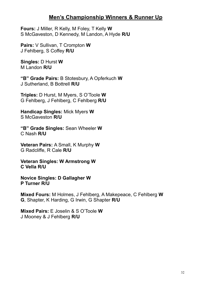#### **Men's Championship Winners & Runner Up**

**Fours:** J Miller, R Kelly, M Foley, T Kelly **W** S McGaveston, D Kennedy, M Landon, A Hyde **R/U**

**Pairs:** V Sullivan, T Crompton **W** J Fehlberg, S Coffey **R/U**

**Singles:** D Hurst **W** M Landon **R/U**

**"B" Grade Pairs:** B Stotesbury, A Opferkuch **W** J Sutherland, B Bottrell **R/U**

**Triples:** D Hurst, M Myers, S O'Toole **W** G Fehlberg, J Fehlberg, C Fehlberg **R/U**

**Handicap Singles:** Mick Myers **W** S McGaveston **R/U**

**"B" Grade Singles:** Sean Wheeler **W** C Nash **R/U**

**Veteran Pairs:** A Small, K Murphy **W** G Radcliffe, R Cale **R/U**

**Veteran Singles: W Armstrong W C Vella R/U**

**Novice Singles: D Gallagher W P Turner R/U**

**Mixed Fours:** M Holmes, J Fehlberg, A Makepeace, C Fehlberg **W G**, Shapter, K Harding, G Irwin, G Shapter **R/U**

**Mixed Pairs:** E Joselin & S O'Toole **W** J Mooney & J Fehlberg **R/U**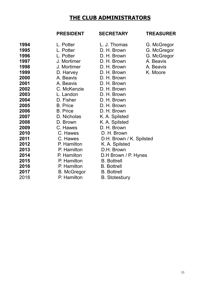### **THE CLUB ADMINISTRATORS**

#### **PRESIDENT SECRETARY TREASURER**

#### 1994 L. Potter L. J. Thomas G. McGregor L. Potter D. H. Brown G. McGregor 1996 L. Potter D. H. Brown G. McGregor J. Mortimer D. H. Brown A. Beavis J. Mortimer D. H. Brown A. Beavis D. Harvey D. H. Brown K. Moore A. Beavis D. H. Brown A. Beavis D. H. Brown C. McKenzie D. H. Brown<br>**2003** L. Landon D. H. Brown **2003** L. Landon D. H. Brown<br>**2004** D. Fisher D. H. Brown D. Fisher D. H. Brown B. Price D. H. Brown B. Price D. H. Brown D. Nicholas K. A. Spilsted D. Brown K. A. Spilsted<br>**2009** C. Hawes D. H. Brown 2. Hawes D. H. Brown<br>C. Hawes D. H. Brown C. Hawes D. H. Brown C. Hawes D.H. Brown / K. Spilsted P. Hamilton K. A. Spilsted P. Hamilton D.H. Brown P. Hamilton D.H Brown / P. Hynes P. Hamilton B. Bottrell P. Hamilton B. Bottrell

B. McGregor B. Bottrell

**P. Hamilton** B. Stotesbury

- 
- 
- 
- 
- 
- 
-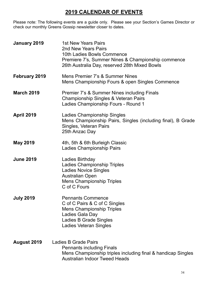# **2019 CALENDAR OF EVENTS**

Please note: The following events are a guide only. Please see your Section's Games Director or check our monthly Greens Gossip newsletter closer to dates.

| January 2019       | 1st New Years Pairs<br>2nd New Years Pairs<br>10th Ladies Bowls Commence<br>Premiere 7's, Summer Nines & Championship commence<br>26th Australia Day, reserved 28th Mixed Bowls |
|--------------------|---------------------------------------------------------------------------------------------------------------------------------------------------------------------------------|
| February 2019      | Mens Premier 7's & Summer Nines<br>Mens Championship Fours & open Singles Commence                                                                                              |
| <b>March 2019</b>  | <b>Premier 7's &amp; Summer Nines including Finals</b><br>Championship Singles & Veteran Pairs<br>Ladies Championship Fours - Round 1                                           |
| <b>April 2019</b>  | Ladies Championship Singles<br>Mens Championship Pairs, Singles (including final), B Grade<br>Singles, Veteran Pairs<br>25th Anzac Day                                          |
| <b>May 2019</b>    | 4th, 5th & 6th Burleigh Classic<br><b>Ladies Championship Pairs</b>                                                                                                             |
| <b>June 2019</b>   | Ladies Birthday<br><b>Ladies Championship Triples</b><br><b>Ladies Novice Singles</b><br><b>Australian Open</b><br><b>Mens Championship Triples</b><br>C of C Fours             |
| <b>July 2019</b>   | <b>Pennants Commence</b><br>C of C Pairs & C of C Singles<br><b>Mens Championship Triples</b><br>Ladies Gala Day<br>Ladies B Grade Singles<br><b>Ladies Veteran Singles</b>     |
| <b>August 2019</b> | Ladies B Grade Pairs<br><b>Pennants including Finals</b><br>Mens Championship triples including final & handicap Singles<br><b>Australian Indoor Tweed Heads</b>                |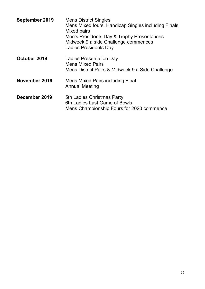| <b>September 2019</b> | <b>Mens District Singles</b><br>Mens Mixed fours, Handicap Singles including Finals,<br>Mixed pairs<br>Men's Presidents Day & Trophy Presentations<br>Midweek 9 a side Challenge commences<br><b>Ladies Presidents Day</b> |
|-----------------------|----------------------------------------------------------------------------------------------------------------------------------------------------------------------------------------------------------------------------|
| October 2019          | Ladies Presentation Day<br><b>Mens Mixed Pairs</b><br>Mens District Pairs & Midweek 9 a Side Challenge                                                                                                                     |
| November 2019         | Mens Mixed Pairs including Final<br><b>Annual Meeting</b>                                                                                                                                                                  |
| December 2019         | 5th Ladies Christmas Party<br>6th Ladies Last Game of Bowls<br>Mens Championship Fours for 2020 commence                                                                                                                   |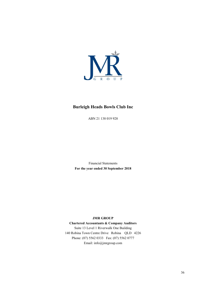

#### **Burleigh Heads Bowls Club Inc**

ABN 21 138 019 928

Financial Statements **For the year ended 30 September 2018**

#### **JMR GROUP**

**Chartered Accountants & Company Auditors** Suite 13 Level 1 Riverwalk One Building 140 Robina Town Centre Drive Robina QLD 4226 Phone: (07) 5562 0333 Fax: (07) 5562 0777

Email: info@jmrgroup.com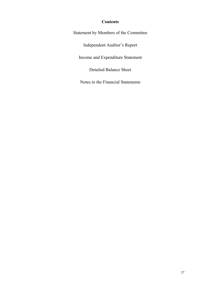#### **Contents**

Statement by Members of the Committee

Independent Auditor's Report

Income and Expenditure Statement

Detailed Balance Sheet

Notes to the Financial Statements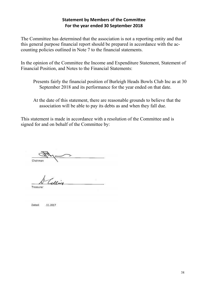#### **Statement by Members of the Committee For the year ended 30 September 2018**

The Committee has determined that the association is not a reporting entity and that this general purpose financial report should be prepared in accordance with the accounting policies outlined in Note 7 to the financial statements.

In the opinion of the Committee the Income and Expenditure Statement, Statement of Financial Position, and Notes to the Financial Statements:

- Presents fairly the financial position of Burleigh Heads Bowls Club Inc as at 30 September 2018 and its performance for the year ended on that date.
- At the date of this statement, there are reasonable grounds to believe that the association will be able to pay its debts as and when they fall due.

This statement is made in accordance with a resolution of the Committee and is signed for and on behalf of the Committee by:

Chairman

Treasurer

Dated: .11.2017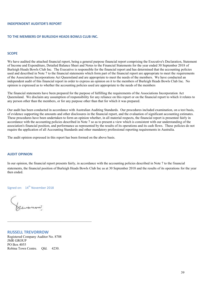#### **INDEPENDENT AUDITOR'S REPORT**

#### **TO THE MEMBERS OF BURLEIGH HEADS BOWLS CLUB INC.**

#### **SCOPE**

We have audited the attached financial report, being a general purpose financial report comprising the Executive's Declaration, Statement of Income and Expenditure, Detailed Balance Sheet and Notes to the Financial Statements for the year ended 30 September 2018 of Burleigh Heads Bowls Club Inc. The Executive is responsible for the financial report and has determined that the accounting policies used and described in Note 7 to the financial statements which form part of the financial report are appropriate to meet the requirements of the Associations Incorporations Act Queensland and are appropriate to meet the needs of the members. We have conducted an independent audit of this financial report in order to express an opinion on it to the members of Burleigh Heads Bowls Club Inc. No opinion is expressed as to whether the accounting policies used are appropriate to the needs of the members

The financial statements have been prepared for the purpose of fulfilling the requirements of the Associations Incorporation Act Queensland. We disclaim any assumption of responsibility for any reliance on this report or on the financial report to which it relates to any person other than the members, or for any purpose other than that for which it was prepared.

Our audit has been conducted in accordance with Australian Auditing Standards. Our procedures included examination, on a test basis, of evidence supporting the amounts and other disclosures in the financial report, and the evaluation of significant accounting estimates. These procedures have been undertaken to form an opinion whether, in all material respects, the financial report is presented fairly in accordance with the accounting policies described in Note 7 so as to present a view which is consistent with our understanding of the association's financial position, and performance as represented by the results of its operations and its cash flows. These policies do not require the application of all Accounting Standards and other mandatory professional reporting requirements in Australia.

The audit opinion expressed in this report has been formed on the above basis.

#### **AUDIT OPINION**

In our opinion, the financial report presents fairly, in accordance with the accounting policies described in Note 7 to the financial statements, the financial position of Burleigh Heads Bowls Club Inc as at 30 September 2018 and the results of its operations for the year then ended.

Signed on: 14<sup>th</sup> November 2018

**RUSSELL TREVORROW** Registered Company Auditor No. 8708 JMR GROUP PO Box 4055 Robina Town Centre. Qld. 4230.

 $\_$  , and the set of the set of the set of the set of the set of the set of the set of the set of the set of the set of the set of the set of the set of the set of the set of the set of the set of the set of the set of th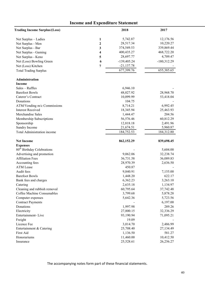#### **Income and Expenditure Statement**

| <b>Trading Income Surplus/(Loss)</b>   |              | 2018          | 2017          |
|----------------------------------------|--------------|---------------|---------------|
| Net Surplus - Ladies                   | 1            | 5,742.87      | 12,176.56     |
| Net Surplus - Men                      | $\mathbf{2}$ | 28,517.34     | 10,220.27     |
| Net Surplus - Bar                      | 3            | 374,549.53    | 339,869.44    |
| Net Surplus - Gaming                   | 4            | 400,435.27    | 468,722.20    |
| Net Surplus - Keno                     | 5            | 28,697.77     | 4,709.47      |
| Net (Loss) Bowling Green               | 6            | $-139,405.24$ | $-180,312.29$ |
| Net (Loss) Kitchen                     | 7            | $-21,137.78$  |               |
| <b>Total Trading Surplus</b>           |              | 677,399.76    | 655,385.65    |
| Administration                         |              |               |               |
| <b>Income</b>                          |              |               |               |
| Sales - Raffles                        |              | 6,946.10      |               |
| <b>Barefoot Bowls</b>                  |              | 48,027.92     | 28,968.70     |
| Caterer's Contract                     |              | 10,099.99     | 53,418.04     |
| Donations                              |              | 104.75        |               |
| ATM/Vending m/c Commissions            |              | 8,714.21      | 6,992.45      |
| <b>Interest Received</b>               |              | 18,345.94     | 25,463.93     |
| Merchandise Sales                      |              | 1,444.47      | 204.56        |
| Membership Subscriptions               |              | 56,576.46     | 60,812.29     |
| Sponsorship                            |              | 12,818.18     | 2,491.96      |
| Sundry Income                          |              | 21,674.51     | 5,960.87      |
| Total Administration income            |              | 184,752.53    | 184,312.80    |
| <b>Net Income</b>                      |              | 862,152.29    | 839,698.45    |
| <b>Expenses</b>                        |              |               |               |
| 80 <sup>th</sup> Birthday Celebrations |              |               | 5,604.00      |
| Advertising and promotion              |              | 9,062.06      | 32,238.74     |
| <b>Affiliation Fees</b>                |              | 36,731.58     | 36,089.83     |
| Accounting fees                        |              | 28,970.39     | 2,636.50      |
| <b>ATM</b> Lease                       |              | 450.87        |               |
| Audit fees                             |              | 9,840.91      | 7,155.00      |
| <b>Barefoot Bowls</b>                  |              | 1,448.20      | 622.17        |
| Bank fees and charges                  |              | 6,362.23      | 3,263.10      |
| Catering                               |              | 2,635.18      | 1,134.97      |
| Cleaning and rubbish removal           |              | 60,795.64     | 37,742.48     |
| Coffee Machine Consumables             |              | 3,799.68      | 5,878.28      |
| Computer expenses                      |              | 5,642.36      | 5,723.56      |
| <b>Contract Payments</b>               |              |               | 6,197.00      |
| Donations                              |              | 1,997.98      | 289.26        |
| Electricity                            |              | 27,800.15     | 32,336.29     |
| Entertainment-Live                     |              | 93,190.94     | 71,095.21     |
| Freight                                |              | 19.09         |               |
| Licence Fee                            |              | 3,014.70      | 2,486.99      |
| Entertainment & Catering               |              | 25,708.40     | 27,134.49     |
| First Aid                              |              | 1,136.50      | 581.27        |
| Honorariums                            |              | 11,460.00     | 10,412.50     |
| Insurance                              |              | 25,528.61     | 26,256.27     |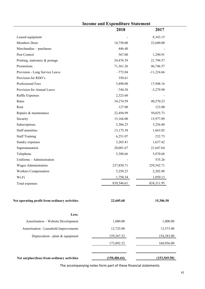|                                               | <b>Income and Expenditure Statement</b> |               |  |
|-----------------------------------------------|-----------------------------------------|---------------|--|
|                                               | 2018                                    | 2017          |  |
| Leased equipment                              |                                         | 8,343.15      |  |
| Members Draw                                  | 14,750.00                               | 22,680.00     |  |
| Merchandise - purchases                       | 446.40                                  |               |  |
| Pest Control                                  | 567.00                                  | 1,290.91      |  |
| Printing, stationery & postage                | 24,476.39                               | 21,794.57     |  |
| Promotions                                    | 71,361.26                               | 46,746.57     |  |
| Provision - Long Service Leave                | $-772.04$                               | $-11,224.66$  |  |
| Provision for RDO's                           | 350.61                                  |               |  |
| Professional Fees                             | 3,890.00                                | 17,948.16     |  |
| Provision for Annual Leave                    | $-744.38$                               | $-3,279.98$   |  |
| Raffle Expenses                               | 2,323.60                                |               |  |
| Rates                                         | 34,274.59                               | 40,570.23     |  |
| Rent                                          | 127.00                                  | 123.00        |  |
| Repairs & maintenance                         | 22,494.99                               | 50,025.73     |  |
| Security                                      | 15,166.00                               | 15,977.09     |  |
| Subscriptions                                 | 2,306.25                                | 3,256.80      |  |
| Staff amenities                               | 13,175.38                               | 1,663.02      |  |
| <b>Staff Training</b>                         | 6,251.07                                | 232.73        |  |
| Sundry expenses                               | 3,265.41                                | 1,637.42      |  |
| Superannuation                                | 20,001.67                               | 21,647.64     |  |
| Telephone                                     | 5,388.66                                | 5,870.68      |  |
| Uniforms - Administration                     |                                         | 535.26        |  |
| Wages Administration                          | 237,850.71                              | 259,542.71    |  |
| Workers Compensation                          | 5,250.23                                | 2,202.88      |  |
| Wi-Fi                                         | 1,750.34                                | 1,850.13      |  |
| Total expenses                                | 839,546.61                              | 824,311.95    |  |
| Net operating profit from ordinary activities | 22,605.68                               | 15,386.50     |  |
| Less:                                         |                                         |               |  |
| Amortisation - Website Development            | 1,000.00                                | 1,000.00      |  |
| Amortisation - Leasehold Improvements         | 12,725.00                               | 13,573.00     |  |
| Depreciation - plant & equipment              | 159,367.32                              | 154,383.00    |  |
|                                               | 173,092.32                              | 168,956.00    |  |
|                                               |                                         |               |  |
| Net surplus/(loss) from ordinary activities   | (150, 486.64)                           | (153, 569.50) |  |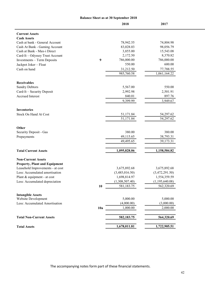|                                      |     | <b>Balance Sheet as at 30 September 2018</b> |                |
|--------------------------------------|-----|----------------------------------------------|----------------|
|                                      |     | 2018                                         | 2017           |
| <b>Current Assets</b>                |     |                                              |                |
| <b>Cash Assets</b>                   |     |                                              |                |
| Cash at bank - General Account       |     | 78,942.55                                    | 74,804.98      |
| Cash At Bank - Gaming Account        |     | 83,028.03                                    | 98,056.79      |
| Cash at Bank - Max-i Direct          |     | 3,855.00                                     | 15,543.08      |
| Card-It - Odyssey Trust Account      |     | 2,172.50                                     | 8,370.82       |
| Investments - Term Deposits          | 9   | 786,000.00                                   | 786,000.00     |
| Jackpot Joker - Float                |     | 550.00                                       | 600.00         |
| Cash on hand                         |     | 31,212.50                                    | 77,788.55      |
|                                      |     | 985,760.58                                   | 1,061,164.22   |
| <b>Receivables</b>                   |     |                                              |                |
| <b>Sundry Debtors</b>                |     | 5,567.00                                     | 550.00         |
| Card-It - Security Deposit           |     | 2,992.98                                     | 2,501.91       |
| <b>Accrued Interest</b>              |     | 840.01                                       | 897.76         |
|                                      |     | 9,399.99                                     | 3,949.67       |
| <b>Inventories</b>                   |     |                                              |                |
| Stock On Hand At Cost                |     | 51,171.84                                    | 54,297.62      |
|                                      |     | 51,171.84                                    | 54,297.62      |
| Other                                |     |                                              |                |
| Security Deposit - Gas               |     | 380.00                                       | 380.00         |
| Prepayments                          |     | 49,115.65                                    | 38,793.31      |
|                                      |     | 49,495.65                                    | 39,173.31      |
| <b>Total Current Assets</b>          |     | 1,095,828.06                                 | 1,158,584.82   |
| <b>Non-Current Assets</b>            |     |                                              |                |
| <b>Property, Plant and Equipment</b> |     |                                              |                |
| Leasehold Improvements - at cost     |     | 3,675,892.68                                 | 3,675,892.68   |
| Less: Accumulated amortisation       |     | (3,485,016.50)                               | (3,472,291.50) |
| Plant & equipment - at cost          |     | 1,698,814.97                                 | 1,554,359.59   |
| Less: Accumulated depreciation       |     | (1,308,507.40)                               | (1,195,640.08) |
|                                      | 10  | 581,183.75                                   | 562,320.69     |
| <b>Intangible Assets</b>             |     |                                              |                |
| Website Development                  |     | 5,000.00                                     | 5,000.00       |
| Less: Accumulated Amortisation       |     | (4,000.00)                                   | (3,000.00)     |
|                                      | 10a | 1,000.00                                     | 2,000.00       |
| <b>Total Non-Current Assets</b>      |     | 582,183.75                                   | 564,320.69     |
| <b>Total Assets</b>                  |     | 1,678,011.81                                 | 1,722,905.51   |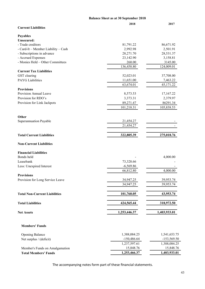|                                         | <b>Balance Sheet as at 30 September 2018</b> |               |  |
|-----------------------------------------|----------------------------------------------|---------------|--|
| <b>Current Liabilities</b>              | 2018                                         | 2017          |  |
|                                         |                                              |               |  |
| <b>Payables</b>                         |                                              |               |  |
| <b>Unsecured:</b>                       |                                              |               |  |
| - Trade creditors                       | 81,791.22                                    | 86,671.92     |  |
| - Card-It - Member Liability - Cash     | 2,992.98                                     | 2,501.91      |  |
| - Subscriptions in advance              | 28,271.70                                    | 28,531.37     |  |
| - Accrued Expenses                      | 23,142.90                                    | 3,158.81      |  |
| - Monies Held - Other Committees        | 260.00<br>136,458.80                         | 3145.00       |  |
| <b>Current Tax Liabilities</b>          |                                              | 124,009.01    |  |
|                                         |                                              |               |  |
| GST clearing<br><b>PAYG</b> Liabilities | 52,023.01                                    | 37,708.00     |  |
|                                         | 11,651.00                                    | 7,463.22      |  |
|                                         | 63,674.01                                    | 45,171.22     |  |
| <b>Provisions</b>                       |                                              |               |  |
| Provision Annual Leave                  | 8,573.53                                     | 17,167.22     |  |
| Provision for RDO's                     | 3,373.31                                     | 2,379.97      |  |
| Provision for Link Jackpots             | 89,271.47                                    | 86291.34      |  |
|                                         | 101,218.31                                   | 105,838.53    |  |
| Other                                   |                                              |               |  |
| Superannuation Payable                  | 21,454.27                                    |               |  |
|                                         | 21,454.27                                    |               |  |
|                                         |                                              |               |  |
| <b>Total Current Liabilities</b>        | 322,805.39                                   | 275,018.76    |  |
| <b>Non-Current Liabilities</b>          |                                              |               |  |
| <b>Financial Liabilities</b>            |                                              |               |  |
| Bonds held                              |                                              | 4,000.00      |  |
| Leasebank                               | 73,328.66                                    |               |  |
| Less: Unexpired Interest                | $-6,569.86$                                  |               |  |
|                                         | 66,812.80                                    | 4,000.00      |  |
| <b>Provisions</b>                       |                                              |               |  |
| Provision for Long Service Leave        | 34,947.25                                    | 39,953.74     |  |
|                                         | 34,947.25                                    | 39,953.74     |  |
| <b>Total Non-Current Liabilities</b>    | 101,760.05                                   | 43,953.74     |  |
| <b>Total Liabilities</b>                | 424,565.44                                   | 318,972.50    |  |
|                                         |                                              |               |  |
| <b>Net Assets</b>                       | 1,253,446.37                                 | 1,403,933.01  |  |
| <b>Members' Funds</b>                   |                                              |               |  |
|                                         |                                              |               |  |
| <b>Opening Balance</b>                  | 1,388,084.25                                 | 1,541,653.75  |  |
| Net surplus / (deficit)                 | $-150,486.64$                                | $-153,569.50$ |  |
|                                         | 1,237,597.61                                 | 1,388,084.25  |  |
| Member's Funds on Amalgamation          | 15,848.76                                    | 15,848.76     |  |
| <b>Total Members' Funds</b>             | 1,253,466.37                                 | 1,403,933.01  |  |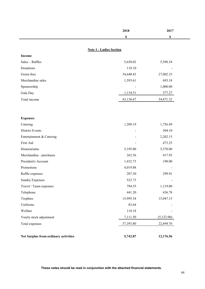|                                      | 2018                           | 2017        |
|--------------------------------------|--------------------------------|-------------|
|                                      | \$                             | $\mathbb S$ |
|                                      |                                |             |
|                                      | <b>Note 1 - Ladies Section</b> |             |
| Income                               |                                |             |
| Sales - Raffles                      | 5,650.02                       | 5,598.54    |
| Donations                            | 118.10                         |             |
| Green fees                           | 34,640.43                      | 27,002.33   |
| Merchandise sales                    | 1,593.61                       | 693.18      |
| Sponsorship                          |                                | 1,000.00    |
| Gala Day                             | 1,134.51                       | 577.27      |
| Total income                         | 43,136.67                      | 34,871.32   |
|                                      |                                |             |
|                                      |                                |             |
| <b>Expenses</b>                      |                                |             |
| Catering                             | 1,209.19                       | 1,756.49    |
| <b>District Events</b>               |                                | 304.10      |
| Entertainment & Catering             |                                | 2,202.15    |
| First Aid                            |                                | 473.25      |
| Honorariums                          | 5,195.00                       | 5,570.00    |
| Merchandise - purchases              | 262.56                         | 417.93      |
| President's Account                  | 1,432.73                       | 190.00      |
| Promotions                           | 4,019.88                       |             |
| Raffle expenses                      | 207.30                         | 299.91      |
| <b>Sundry Expenses</b>               | 522.73                         |             |
| Travel / Team expenses               | 794.55                         | 1,119.00    |
| Telephone                            | 441.20                         | 436.78      |
| Trophies                             | 15,995.34                      | 15,047.15   |
| Uniforms                             | 83.64                          |             |
| Welfare                              | 118.18                         |             |
| Yearly stock adjustment              | 7,111.50                       | (5,122.00)  |
| Total expenses                       | 37,393.80                      | 22,694.76   |
|                                      |                                |             |
| Net Surplus from ordinary activities | 5,742.87                       | 12,176.56   |

**These notes should be read in conjunction with the attached financial statements. These notes should be read in conjunction with the attached financial statements.**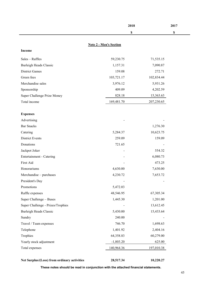|                                   | <b>Note 2 - Men's Section</b> |            |
|-----------------------------------|-------------------------------|------------|
| Income                            |                               |            |
| Sales - Raffles                   | 59,230.75                     | 71,535.15  |
| <b>Burleigh Heads Classic</b>     | 1,157.31                      | 7,090.87   |
| <b>District Games</b>             | 159.08                        | 272.71     |
| Green fees                        | 103,721.17                    | 102,834.44 |
| Merchandise sales                 | 3,976.12                      | 5,931.26   |
| Sponsorship                       | 409.09                        | 4,202.59   |
| Super Challenge Prize Money       | 828.18                        | 15,363.63  |
| Total income                      | 169,481.70                    | 207,230.65 |
|                                   |                               |            |
| <b>Expenses</b><br>Advertising    |                               |            |
| <b>Bar Snacks</b>                 |                               | 1,276.30   |
| Catering                          | 5,284.37                      | 10,623.75  |
| <b>District Events</b>            | 259.09                        | 159.09     |
| Donations                         | 721.65                        |            |
| Jackpot Joker                     |                               | 554.32     |
| Entertainment - Catering          |                               | 6,080.73   |
| First Aid                         |                               | 473.25     |
| Honorariums                       | 4,630.00                      | 7,630.00   |
| Merchandise - purchases           | 4,230.72                      | 7,653.72   |
| President's Day                   |                               |            |
| Promotions                        | 5,472.03                      |            |
| Raffle expenses                   | 48,546.95                     | 67,305.34  |
| Super Challenge - Buses           | 1,445.30                      | 1,201.00   |
| Super Challenge - Prizes/Trophies |                               | 13,612.45  |
| <b>Burleigh Heads Classic</b>     | 5,430.00                      | 15,433.64  |
| Sundry                            | 240.00                        |            |
| Travel / Team expenses            | 746.70                        | 1,698.63   |
| Telephone                         | 1,401.92                      | 2,404.16   |
| Trophies                          | 64,358.83                     | 60,279.00  |
| Yearly stock adjustment           | $-1,803.20$                   | 625.00     |
| Total expenses                    | 140,964.36                    | 197,010.38 |
|                                   |                               |            |

| Net Surplus/(Loss) from ordinary activities | 28,517.34 | 10,220.27 |
|---------------------------------------------|-----------|-----------|
|                                             |           |           |

**2018 2017**

**\$ \$**

**These notes should be read in conjunction with the attached financial statements. These notes should be read in conjunction with the attached financial statements.**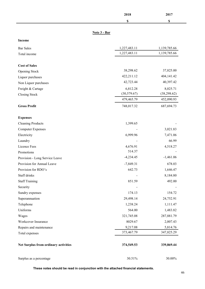|                                      | 2018         | 2017         |  |
|--------------------------------------|--------------|--------------|--|
|                                      | \$           | \$           |  |
|                                      |              |              |  |
| Note 3 - Bar                         |              |              |  |
| Income                               |              |              |  |
| <b>Bar Sales</b>                     | 1,227,483.11 | 1,139,785.66 |  |
| Total income                         | 1,227,483.11 | 1,139,785.66 |  |
|                                      |              |              |  |
| <b>Cost of Sales</b>                 |              |              |  |
| Opening Stock                        | 38,298.62    | 37,825.00    |  |
| Liquor purchases                     | 422,211.12   | 404,141.42   |  |
| Non Liquor purchases                 | 42,723.44    | 40,397.42    |  |
| Freight & Cartage                    | 6,812.28     | 8,025.71     |  |
| <b>Closing Stock</b>                 | (30, 579.67) | (38, 298.62) |  |
|                                      | 479,465.79   | 452,090.93   |  |
| <b>Gross Profit</b>                  | 748,017.32   | 687,694.73   |  |
| <b>Expenses</b>                      |              |              |  |
| <b>Cleaning Products</b>             | 1,399.65     |              |  |
| <b>Computer Expenses</b>             |              | 3,021.83     |  |
| Electricity                          | 6,999.96     | 7,471.06     |  |
| Laundry                              |              | 66.99        |  |
| Licence Fees                         | 4,676.91     | 4,518.27     |  |
| Promotions                           | 514.37       |              |  |
| Provision - Long Service Leave       | $-4,234.45$  | $-1,461.06$  |  |
| Provision for Annual Leave           | $-7,849.31$  | 678.03       |  |
| Provision for RDO's                  | 642.73       | 1,646.47     |  |
| Staff drinks                         |              | 8,184.80     |  |
| <b>Staff Training</b>                | 851.59       | 492.00       |  |
| Security                             |              |              |  |
| Sundry expenses                      | 174.13       | 154.72       |  |
| Superannuation                       | 29,498.14    | 24,752.91    |  |
| Telephone                            | 1,238.24     | 1,111.47     |  |
| Uniforms                             | 564.00       | 1,483.82     |  |
| Wages                                | 321,745.08   | 287,881.79   |  |
| Workcover Insurance                  | 8029.67      | 2,007.43     |  |
| Repairs and maintenance              | 9,217.08     | 5,814.76     |  |
| Total expenses                       | 373,467.79   | 347,825.29   |  |
| Net Surplus from ordinary activities | 374,549.53   | 339,869.44   |  |
| Surplus as a percentage              | 30.51%       | $30.00\%$    |  |

**These notes should be read in conjunction with the attached financial statements.**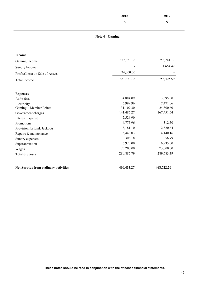|                                      | 2018                   | 2017       |
|--------------------------------------|------------------------|------------|
|                                      | $\mathbb S$            | \$         |
|                                      | <b>Note 4 - Gaming</b> |            |
| <b>Income</b>                        |                        |            |
| Gaming Income                        | 657,321.06             | 756,741.17 |
|                                      |                        | 1,664.42   |
| Sundry Income                        | 24,000.00              |            |
| Profit/(Loss) on Sale of Assets      |                        |            |
| <b>Total Income</b>                  | 681,321.06             | 758,405.59 |
|                                      |                        |            |
| <b>Expenses</b>                      |                        |            |
| Audit fees                           | 4,884.09               | 3,695.00   |
| Electricity                          | 6,999.96               | 7,471.06   |
| Gaming - Member Points               | 31,109.30              | 24,300.60  |
| Government charges                   | 141,486.27             | 167,451.64 |
| <b>Interest Expense</b>              | 2,526.90               |            |
| Promotions                           | 4,775.96               | 312.50     |
| Provision for Link Jackpots          | 3,181.10               | 2,320.64   |
| Repairs & maintenance                | 5,443.03               | 4,140.16   |
| Sundry expenses                      | 306.18                 | 56.79      |
| Superannuation                       | 6,973.00               | 6,935.00   |
| Wages                                | 73,200.00              | 73,000.00  |
| Total expenses                       | 280,885.79             | 289,683.39 |
|                                      |                        |            |
| Net Surplus from ordinary activities | 400,435.27             | 468,722.20 |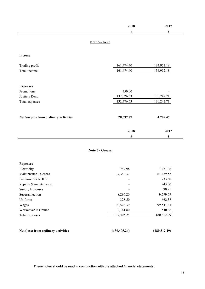|                                      |               | 2018<br>$\mathbb S$ | 2017<br>$\mathbb S$ |
|--------------------------------------|---------------|---------------------|---------------------|
|                                      | Note 5 - Keno |                     |                     |
| <b>Income</b>                        |               |                     |                     |
| Trading profit                       |               | 161,474.40          | 134,952.18          |
| Total income                         |               | 161,474.40          | 134,952.18          |
|                                      |               |                     |                     |
| <b>Expenses</b>                      |               |                     |                     |
| Promotions                           |               | 750.00              |                     |
| Jupiters Keno                        |               | 132,026.63          | 130,242.71          |
| Total expenses                       |               | 132,776.63          | 130,242.71          |
|                                      |               |                     |                     |
| Net Surplus from ordinary activities |               | 28,697.77           | 4,709.47            |
|                                      |               | 2018                | 2017                |
|                                      |               | $\mathbb S$         | $\pmb{\mathbb{S}}$  |

#### **Note 6 - Greens**

| <b>Expenses</b>                     |               |               |
|-------------------------------------|---------------|---------------|
| Electricity                         | 749.98        | 7,471.06      |
| Maintenance-- Greens                | 37,340.37     | 61,429.57     |
| Provision for RDO's                 |               | 733.50        |
| Repairs & maintenance               |               | 243.30        |
| <b>Sundry Expenses</b>              |               | 90.91         |
| Superannuation                      | 8,296.20      | 9,599.69      |
| Uniforms                            | 328.50        | 662.37        |
| Wages                               | 90,528.39     | 99,541.43     |
| Workcover Insurance                 | 2,161.80      | 540.46        |
| Total expenses                      | $-139,405.24$ | $-180,312.29$ |
|                                     |               |               |
| Net (loss) from ordinary activities | (139, 405.24) | (180, 312.29) |

**These notes should be read in conjunction with the attached financial statements. These notes should be read in conjunction with the attached financial statements.**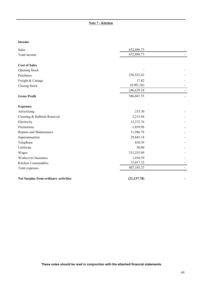#### **Note 7 - Kitchen**

#### **Income**

| Sales                                       | 632,686.73   |  |
|---------------------------------------------|--------------|--|
| Total income                                | 632,686.73   |  |
| <b>Cost of Sales</b>                        |              |  |
| Opening Stock                               |              |  |
| Purchases                                   | 256,522.62   |  |
| Freight & Cartage                           | 17.82        |  |
| <b>Closing Stock</b>                        | (9,901.26)   |  |
|                                             | 246,639.18   |  |
| <b>Gross Profit</b>                         | 386,047.55   |  |
| <b>Expenses</b>                             |              |  |
| Advertising                                 | 233.30       |  |
| Cleaning & Rubbish Removal                  | 3,215.94     |  |
| Electricity                                 | 12,272.76    |  |
| Promotions                                  | 1,039.98     |  |
| Repairs and Maintenance                     | 11,986.78    |  |
| Superannuation                              | 29,845.18    |  |
| Telephone                                   | 830.39       |  |
| Uniforms                                    | 50.00        |  |
| Wages                                       | 331,255.09   |  |
| Workcover Insurance                         | 1,438.59     |  |
| Kitchen Consumables                         | 15,017.32    |  |
| Total expenses                              | 407,185.33   |  |
| <b>Net Surplus from ordinary activities</b> | (21, 137.78) |  |

**These notes should be read in conjunction with the attached financial statements.**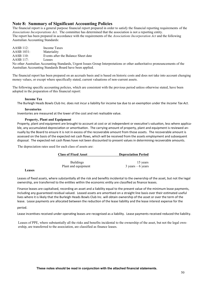#### **Note 8: Summary of Significant Accounting Policies**

The financial report is a general purpose financial report prepared in order to satisfy the financial reporting requirements of the *Associations Incorporations Act*. The committee has determined that the association is not a reporting entity. The report has been prepared in accordance with the requirements of the *Associations Incorporation Act* and the following Australian Accounting Standards:

| <b>AASB</b> 112: | Income Taxes                                              |
|------------------|-----------------------------------------------------------|
| AASB 1031:       | Materiality                                               |
| <b>AASB</b> 110: | Events after the Balance Sheet date                       |
| AASB 117:        | Leases                                                    |
|                  | No other Australian Accounting Standards, Urgent Issues C |

Group Interpretations or other authoritative pronouncements of the Australian Accounting Standards Board have been applied.

The financial report has been prepared on an accruals basis and is based on historic costs and does not take into account changing money values, or except where specifically stated, current valuations of non-current assets.

The following specific accounting policies, which are consistent with the previous period unless otherwise stated, have been adopted in the preparation of this financial report:

#### **Income Tax**

The Burleigh Heads Bowls Club Inc. does not incur a liability for income tax due to an exemption under the *Income Tax Act*.

#### **Inventories**

Inventories are measured at the lower of the cost and net realisable value.

#### **Property, Plant and Equipment**

Property, plant and equipment are brought to account at cost or at independent or executive's valuation, less where applicable, any accumulated depreciation or amortisation. The carrying amount of property, plant and equipment is reviewed annually by the Board to ensure it is not in excess of the recoverable amount from those assets. The recoverable amount is assessed on the basis of the expected net cash flows, which will be received from the assets employment and subsequent disposal. The expected net cash flows have not been discounted to present values in determining recoverable amounts.

The depreciation rates used for each class of assets are:

| <b>Class of Fixed Asset</b> | <b>Depreciation Period</b>          |
|-----------------------------|-------------------------------------|
| <b>Buildings</b>            | 15 years                            |
| Plant and equipment         | $3 \text{ years} - 6 \text{ years}$ |

**Leases**

Leases of fixed assets, where substantially all the risk and benefits incidental to the ownership of the asset, but not the legal ownership, are transferred to the entities within the economic entity are classified as finance leases.

Finance leases are capitalised, recording an asset and a liability equal to the present value of the minimum lease payments, including any guaranteed residual valued. Leased assets are amortised on a straight line basis over their estimated useful lives where it is likely that the Burleigh Heads Bowls Club Inc. will obtain ownership of the asset or over the term of the lease. Lease payments are allocated between the reduction of the lease liability and the lease interest expense for the

period.

Lease incentives received under operating leases are recognised as a liability. Lease payments received reduced the liability.

Leases of PPE, where substantially all the risks and benefits incidental to the ownership of the asset, but not the legal ownership, are transferred to the association, are classified as finance leases.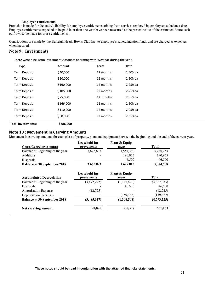#### **Employee Entitlements**

Provision is made for the entity's liability for employee entitlements arising from services rendered by employees to balance date. Employee entitlements expected to be paid later than one year have been measured at the present value of the estimated future cash outflows to be made for those entitlements.

Contributions are made by the Burleigh Heads Bowls Club Inc. to employee's superannuation funds and are charged as expenses when incurred.

#### **Note 9: Investments**

There were nine Term Investment Accounts operating with Westpac during the year:

| <b>Type</b>         | Amount    | Term      | Rate       |
|---------------------|-----------|-----------|------------|
| <b>Term Deposit</b> | \$40,000  | 12 months | 2.50%pa    |
| <b>Term Deposit</b> | \$50,000  | 12 months | 2.50%pa    |
| <b>Term Deposit</b> | \$160,000 | 12 months | $2.25%$ pa |
| <b>Term Deposit</b> | \$105,000 | 12 months | $2.25%$ pa |
| <b>Term Deposit</b> | \$75,000  | 12 months | $2.35%$ pa |
| <b>Term Deposit</b> | \$166,000 | 12 months | $2.50%$ pa |
| <b>Term Deposit</b> | \$110,000 | 12 months | $2.25%$ pa |
| <b>Term Deposit</b> | \$80,000  | 12 months | $2.35%$ pa |
|                     |           |           |            |

**Total Investments: \$786,000**

.

#### **Note 10 : Movement in Carrying Amounts**

Movement in carrying amounts for each class of property, plant and equipment between the beginning and the end of the current year.

| <b>Gross Carrying Amount</b>        | Leasehold Im-<br>provements | Plant & Equip-<br>ment | <b>Total</b> |
|-------------------------------------|-----------------------------|------------------------|--------------|
| Balance at Beginning of the year    | 3,675,893                   | 1,554,360              | 5,230,253    |
| Additions                           |                             | 190,955                | 190,955      |
| Disposals                           |                             | $-46,500$              | $-46,500$    |
| <b>Balance at 30 September 2018</b> | 3,675,893                   | 1,698,815              | 5,374,708    |
|                                     | Leasehold Im-               | Plant & Equip-         |              |
| <b>Accumulated Depreciation</b>     | provements                  | ment                   | <b>Total</b> |
| Balance at Beginning of the year    | (3,472,292)                 | (1,195,641)            | (4,667,933)  |
| Disposals                           |                             | 46,500                 | 46,500       |
| <b>Amortisation Expense</b>         | (12, 725)                   |                        | (12, 725)    |
| Depreciation Expenses               |                             | (159, 367)             | (159, 367)   |
| <b>Balance at 30 September 2018</b> | (3,485,017)                 | (1,308,508)            | (4,793,525)  |
| Net carrying amount                 | 190,876                     | 390,307                | 581,183      |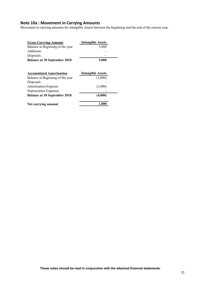#### **Note 10a : Movement in Carrying Amounts**

Movement in carrying amounts for intangible Assets between the beginning and the end of the current year.

| <b>Gross Carrying Amount</b>        | <b>Intangible Assets</b> |
|-------------------------------------|--------------------------|
| Balance at Beginning of the year    | 5,000                    |
| <b>Additions</b>                    |                          |
| Disposals                           |                          |
| <b>Balance at 30 September 2018</b> | 5,000                    |
| <b>Accumulated Amortisation</b>     | <b>Intangible Assets</b> |
| Balance at Beginning of the year    | (3,000)                  |
| Disposals                           |                          |
| <b>Amortisation Expense</b>         | (1,000)                  |
| Depreciation Expenses               |                          |
| <b>Balance at 30 September 2018</b> | (4,000)                  |
| Net carrying amount                 | 1,000                    |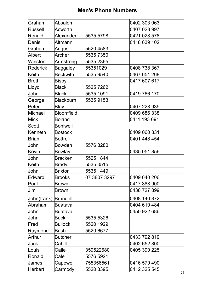# **Men's Phone Numbers**

| Graham          | Absalom           |              | 0402 303 063       |
|-----------------|-------------------|--------------|--------------------|
| Russell         | Acworth           |              | 0407 028 997       |
| Ronald          | Alexander         | 5535 5798    | 0421 028 578       |
| Denis           | Altmann           |              | 0418 639 102       |
| Graham          | Angus             | 5520 4583    |                    |
| Albert          | Archer            | 5535 7350    |                    |
| Winston         | Armstrong         | 5535 2365    |                    |
| <b>Roderick</b> | <b>Baggaley</b>   | 55351029     | 0408 738 367       |
| Keith           | <b>Beckwith</b>   | 5535 9540    | 0467 651 268       |
| <b>Brett</b>    | Bisby             |              | 0417 607 617       |
| Lloyd           | <b>Black</b>      | 5525 7262    |                    |
| John            | <b>Black</b>      | 5535 1091    | 0419 766 170       |
| George          | <b>Blackburn</b>  | 5535 9153    |                    |
| Peter           | <b>Blay</b>       |              | 0407 228 939       |
| Michael         | <b>Bloomfield</b> |              | 0409 686 338       |
| <b>Mick</b>     | <b>Boland</b>     |              | 0411 193 691       |
| Scott           | <b>Boniwell</b>   |              |                    |
| Kenneth         | <b>Bostock</b>    |              | 0409 060 831       |
| <b>Brian</b>    | <b>Bottrell</b>   |              | 0401 448 454       |
| John            | <b>Bowden</b>     | 5576 3280    |                    |
| Kevin           | <b>Bowlay</b>     |              | 0435 051 856       |
| John            | <b>Bracken</b>    | 5525 1844    |                    |
| Keith           | <b>Brady</b>      | 5535 0515    |                    |
| <b>John</b>     | <b>Brixton</b>    | 5535 1449    |                    |
| Edward          | <b>Brooks</b>     | 07 3807 3297 | 0409 640 206       |
| Paul            | Brown             |              | 0417 388 900       |
| Jim             | <b>Brown</b>      |              | 0438 727 899       |
| John(frank)     | Brundell          |              | 0408 140 872       |
| Abraham         | <b>Buatava</b>    |              | 0404 610 484       |
| John            | <b>Buatava</b>    |              | 0450 922 686       |
| John            | <b>Buck</b>       | 5535 5326    |                    |
| Fred            | <b>Bullock</b>    | 5520 1929    |                    |
| Raymond         | <b>Bush</b>       | 5520 6677    |                    |
| <b>Arthur</b>   | <b>Butcher</b>    |              | 0433 792 819       |
| <b>Jack</b>     | Cahill            |              | 0402 652 800       |
| Louis           | Caile             | 359522680    | 0405 390 225       |
| Ronald          | Cale              | 5576 5921    |                    |
| <b>James</b>    | Capewell          | 755356561    | 0416 579 490       |
| Herbert         | Carmody           | 5520 3395    | 0412 325 545<br>53 |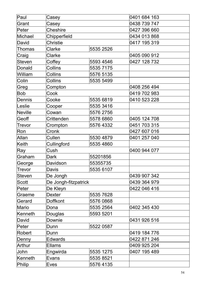| Paul          | Casey                    |           | 0401 684 163 |
|---------------|--------------------------|-----------|--------------|
| Grant         | Casey                    |           | 0438 739 747 |
| <b>Peter</b>  | <b>Cheshire</b>          |           | 0427 396 660 |
| Michael       | Chipperfield             |           | 0434 013 868 |
| David         | <b>Christie</b>          |           | 0417 195 319 |
| Thomas        | Clarke                   | 5535 2526 |              |
| Craig         | <b>Clarke</b>            |           | 0405 090 912 |
| <b>Steven</b> | Coffey                   | 5593 4546 | 0427 128 732 |
| Donald        | Collins                  | 5535 7175 |              |
| William       | <b>Collins</b>           | 5576 5135 |              |
| Colin         | Collins                  | 5535 5499 |              |
| Greg          | Compton                  |           | 0408 256 494 |
| <b>Bob</b>    | Cook                     |           | 0419 702 983 |
| Dennis        | Cooke                    | 5535 6819 | 0410 523 228 |
| Leslie        | Cooper                   | 5535 3416 |              |
| Neville       | Cowan                    | 5576 2756 |              |
| Geoff         | Crittenden               | 5578 6860 | 0405 124 708 |
| Trevor        | Crompton                 | 5576 4332 | 0451 703 315 |
| Ron           | Cronk                    |           | 0427 607 016 |
| Allan         | Cullen                   | 5530 4879 | 0401 257 040 |
| Keith         | Cullingford<br>5535 4860 |           |              |
| Ray           | Cush                     |           | 0400 944 077 |
| Graham        | <b>Dark</b>              | 55201856  |              |
| George        | Davidson                 | 55355735  |              |
| Trevor        | Davis                    | 5535 6107 |              |
| <b>Steven</b> | De Jongh                 |           | 0439 907 342 |
| <b>Scott</b>  | De Jongh-fitzpatrick     |           | 0439 364 979 |
| Peter         | De Kleyn                 |           | 0422 046 416 |
| Graeme        | <b>Dexter</b>            | 5535 7628 |              |
| Gerard        | <b>Doffkont</b>          | 5576 0868 |              |
| Mario         | Dona                     | 5535 2564 | 0402 345 430 |
| Kenneth       | Douglas                  | 5593 5201 |              |
| David         | Downie                   |           | 0431 926 516 |
| Peter         | Dunn                     | 5522 0587 |              |
| Robert        | Dunn                     |           | 0419 184 776 |
| Denny         | <b>Edwards</b>           |           | 0422 871 246 |
| Arthur        | <b>Ellams</b>            |           | 0409 925 204 |
| John          | Engwirda                 | 5535 1275 | 0407 195 489 |
| Kenneth       | Evans                    | 5535 8521 |              |
| Philip        | 5576 4135<br>Eves        |           |              |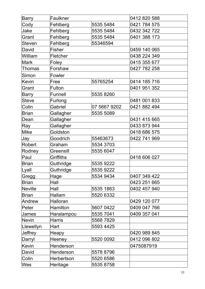| Barry         | Faulkner        |              | 0412 820 588 |
|---------------|-----------------|--------------|--------------|
| Cody          | Fehlberg        | 5535 5484    | 0421 784 575 |
| Jake          | Fehlberg        | 5535 5484    | 0432 342 722 |
| Grant         | Fehlberg        | 5535 5484    | 0401 388 173 |
| <b>Steven</b> | Fehlberg        | 55346594     |              |
| David         | Fisher          |              | 0459 140 065 |
| William       | <b>Fletcher</b> |              | 0438 224 349 |
| Mark          | Foley           |              | 0415 355 677 |
| Thomas        | Forshaw         |              | 0427 782 258 |
| Simon         | Fowler          |              |              |
| Kevin         | Free            | 55765254     | 0414 185 716 |
| Grant         | Fulton          |              | 0401 951 352 |
| <b>Barry</b>  | <b>Funnell</b>  | 5535 8260    |              |
| <b>Steve</b>  | Furlong         |              | 0481 001 833 |
| Colin         | Gabriel         | 07 5667 9202 | 0421 882 494 |
| <b>Brian</b>  | Gallagher       | 5535 5089    |              |
| Dean          | Gallagher       |              | 0431 415 665 |
| Ray           | Gallagher       |              | 0433 873 944 |
| <b>Mike</b>   | Goldston        |              | 0418 686 575 |
| Jay           | Goodrich        | 55463673     | 0422 741 969 |
| <b>Robert</b> | Graham          | 5534 3703    |              |
| Rodney        | Greensill       | 5535 6047    |              |
| Paul          | Griffiths       |              | 0418 606 027 |
| <b>Brian</b>  | Guthridge       | 5535 9222    |              |
| ∣Lyall        | Guthridge       | 5535 9222    |              |
| Gregg         | Hage            | 5534 9434    | 0407 349 422 |
| <b>Brian</b>  | Hall            |              | 0423 251 665 |
| Neville       | Hall            | 5535 1863    | 0402 457 940 |
| <b>Brian</b>  | Hallam          | 5520 6332    |              |
| Andrew        | Halloran        |              | 0429 120 077 |
| Peter         | <b>Hamilton</b> | 5607 0422    | 0409 047 766 |
| James         | Haralampou      | 5535 7041    | 0409 357 041 |
| Nevin         | <b>Harris</b>   | 5568 7829    |              |
| Llewellyn     | <b>Hart</b>     | 5593 4425    |              |
| Jeffrey       | Heapy           |              | 0420 989 845 |
| Darryl        | <b>Heeney</b>   | 5520 0092    | 0412 096 802 |
| Kevin         | Henderson       |              | 0475087919   |
| David         | Henderson       | 5578 8796    |              |
| Colin         | Herbertson      | 5520 6586    |              |
| Wes           | Heritage        | 5535 8758    |              |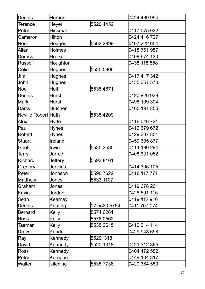| Dennis              | Hernon          |              | 0424 469 994 |
|---------------------|-----------------|--------------|--------------|
| Terence             | Heyer           | 5520 4452    |              |
| Peter               | <b>Hickman</b>  |              | 0417 075 022 |
| Cameron             | <b>Hilton</b>   |              | 0424 416 797 |
| Noel                | <b>Hodges</b>   | 5562 2999    | 0407 222 654 |
| Allan               | <b>Holmes</b>   |              | 0418 761 957 |
| Derrick             | Hooker          |              | 0408 674 130 |
| Russell             | Houghton        |              | 0438 118 558 |
| Colin               | <b>Hughes</b>   | 5535 5806    |              |
| Jim                 | <b>Hughes</b>   |              | 0417 417 342 |
| John                | <b>Hughes</b>   |              | 0435 351 570 |
| <b>Noel</b>         | Hull            | 5535 4671    |              |
| Dennis              | <b>Hurst</b>    |              | 0420 926 938 |
| <b>Mark</b>         | <b>Hurst</b>    |              | 0498 109 394 |
| Darcy               | Hutchen         |              | 0405 191 856 |
| Neville Robert Huth |                 | 5535 4209    |              |
| Alex                | Hyde            |              | 0416 046 731 |
| Paul                | Hynes           |              | 0419 679 672 |
| Robert              | Hynes           |              | 0429 337 851 |
| <b>Stuart</b>       | Ireland         |              | 0459 695 877 |
| Geoff               | Irwin           | 5535 2535    | 0414 180 294 |
| <b>Terry</b>        | Jarred          |              | 0408 331 052 |
| Richard             | <b>Jeffery</b>  | 5593 8161    |              |
| Gregory             | Jenkins         |              | 0414 306 105 |
| Peter               | Johnson         | 5598 7622    | 0418 117 771 |
| Matthew             | Jones           | 5533 1107    |              |
| Graham              | Jones           |              | 0419 678 261 |
| Kevin               | Jordan          |              | 0428 591 115 |
| Sean                | Kearney         |              | 0419 112 916 |
| Dennis              | Keating         | 07 5530 5764 | 0411 707 074 |
| Bernard             | Kelly           | 5574 6261    |              |
| <b>Ross</b>         | <b>Kelly</b>    | 5576 0562    |              |
| Tasman              | <b>Kelly</b>    | 5535 2615    | 0410 614 114 |
| Drew                | Kendal          |              | 0429 948 698 |
| Ray                 | Kennedy         | 55201318     |              |
| David               | Kennedy         | 5520 1318    | 0421 312 365 |
| <b>Ross</b>         | Kennedy         |              | 0404 472 582 |
| Peter               | Kerrigan        |              | 0449 104 317 |
| Walter              | <b>Kitching</b> | 5535 7738    | 0420 384 580 |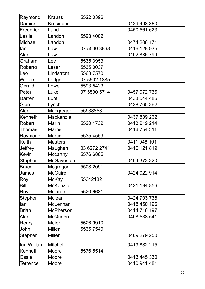| Raymond         | <b>Krauss</b>     | 5522 0396    |              |
|-----------------|-------------------|--------------|--------------|
| Damien          | Kresinger         |              | 0429 498 360 |
| Frederick       | Land              |              | 0450 561 623 |
| Leslie          | Landon            | 5593 4002    |              |
| Michael         | Landon            |              | 0474 206 171 |
| lan             | _aw               | 07 5530 3868 | 0416 128 935 |
| Alan            | Law               |              | 0402 885 799 |
| Graham          | Lee               | 5535 3953    |              |
| Roberto         | Leser             | 5535 0037    |              |
| Leo             | Lindstrom         | 5568 7570    |              |
| William         | Lodge             | 07 5502 1885 |              |
| Gerald          | Lowe              | 5593 5423    |              |
| Peter           | Luke              | 07 5530 5714 | 0457 072 735 |
| Darren          | Lunt              |              | 0433 544 486 |
| Glen            | Lynch             |              | 0438 765 362 |
| Alan            | Macgregor         | 55938858     |              |
| Kenneth         | Mackenzie         |              | 0437 839 262 |
| Robert          | Marin             | 5520 1732    | 0413 219 214 |
| Thomas          | <b>Marris</b>     |              | 0418 754 311 |
| Raymond         | Martin            | 5535 4559    |              |
| Keith           | <b>Masters</b>    |              | 0411 048 101 |
| Jeffrey         | Maughan           | 03 6272 2741 | 0410 121 819 |
| Kevin           | Mccarthy          | 5576 6885    |              |
| Stephen         | <b>McGaveston</b> |              | 0404 373 320 |
| <b>Bruce</b>    | Mcgregor          | 5508 2091    |              |
| James           | McGuire           |              | 0424 022 914 |
| Roy             | McKay             | 55342132     |              |
| Bill            | McKenzie          |              | 0431 184 856 |
| Roy             | Mclaren           | 5520 6681    |              |
| Stephen         | Mclean            |              | 0424 703 738 |
| lan             | McLennan          |              | 0418 450 196 |
| Brian           | <b>McPherson</b>  |              | 0414 716 197 |
| Alan            | McQueen           |              | 0408 538 541 |
| <b>Henry</b>    | <b>Meier</b>      | 5526 9910    |              |
| John            | Miller            | 5535 7549    |              |
| Stephen         | <b>Miller</b>     |              | 0409 279 250 |
| lan William     | Mitchell          |              | 0419 882 215 |
| Kenneth         | <b>Moore</b>      | 5576 5514    |              |
| Ossie           | Moore             |              | 0413 445 330 |
| <b>Terrence</b> | Moore             |              | 0410 941 481 |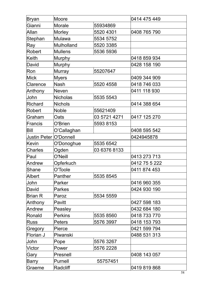| Bryan                  | <b>Moore</b>   |              | 0414 475 449  |
|------------------------|----------------|--------------|---------------|
| Gianni                 | <b>Morale</b>  | 55934869     |               |
| Allan                  | <b>Morley</b>  | 5520 4301    | 0408 765 790  |
| Stephan                | Mulawa         | 5534 5752    |               |
| Ray                    | Mulholland     | 5520 3385    |               |
| Robert                 | <b>Mullens</b> | 5536 5936    |               |
| <b>Keith</b>           | <b>Murphy</b>  |              | 0418 859 934  |
| David                  | <b>Murphy</b>  |              | 0428 158 190  |
| Ron                    | <b>Murray</b>  | 55207647     |               |
| <b>Mick</b>            | <b>Myers</b>   |              | 0409 344 909  |
| Clarence               | <b>Nash</b>    | 5520 4558    | 0418 746 033  |
| Anthony                | <b>Neven</b>   |              | 0411 118 930  |
| John                   | Nicholas       | 5535 5543    |               |
| <b>Richard</b>         | <b>Nichols</b> |              | 0414 388 654  |
| Robert                 | <b>Noble</b>   | 55621409     |               |
| Graham                 | Oats           | 03 5721 4271 | 0417 125 270  |
| Francis                | O'Brien        | 5593 8153    |               |
| Bill                   | O'Callaghan    |              | 0408 595 542  |
| Justin Peter O'Donnell |                |              | 0424945878    |
| Kevin                  | O'Donoghue     | 5535 6542    |               |
| <b>Charles</b>         | Ogden          | 03 6376 8133 |               |
| Paul                   | O'Neill        |              | 0413 273 713  |
| Andrew                 | Opferkuch      |              | 0412 75 5 222 |
| lShane                 | O'Toole        |              | 0411 874 453  |
| Albert                 | Panther        | 5535 8545    |               |
| John                   | Parker         |              | 0416 960 355  |
| David                  | <b>Parkes</b>  |              | 0424 930 190  |
| Brian R                | Paroz          | 5534 5559    |               |
| Anthony                | Pavitt         |              | 0427 598 183  |
| Andrew                 | Peasley        |              | 0432 684 180  |
| Ronald                 | <b>Perkins</b> | 5535 8560    | 0418 733 770  |
| <b>Russ</b>            | <b>Peters</b>  | 5576 3997    | 0418 153 793  |
| Gregory                | Pierce         |              | 0421 599 794  |
| Florian J              | Piwanski       |              | 0488 531 313  |
| John                   | Pope           | 5576 3267    |               |
| Victor                 | Power          | 5576 2228    |               |
| Gary                   | Presnell       |              | 0408 143 057  |
| <b>Barry</b>           | Purnell        | 55757451     |               |
| Graeme                 | Radcliff       |              | 0419 819 868  |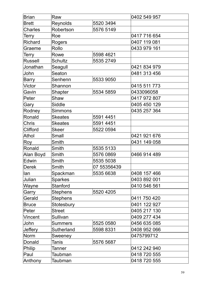| <b>Brian</b>    | Raw             |             | 0402 549 957 |
|-----------------|-----------------|-------------|--------------|
| <b>Brett</b>    | Reynolds        | 5520 3494   |              |
| <b>Charles</b>  | Robertson       | 5576 5149   |              |
| Terry           | Roe             |             | 0417 716 654 |
| <b>Richard</b>  | Rogers          |             | 0407 119 081 |
| Graeme          | Rollo           |             | 0433 979 161 |
| Terry           | Rowe            | 5598 4621   |              |
| <b>Russell</b>  | <b>Schultz</b>  | 5535 2749   |              |
| Jonathan        | Seagull         |             | 0421 834 979 |
| John            | Seaton          |             | 0481 313 456 |
| <b>Barry</b>    | Senhenn         | 5533 9050   |              |
| <b>Victor</b>   | Shannon         |             | 0415 511 773 |
| Gavin           | <b>Shapter</b>  | 5534 5859   | 0433096058   |
| ∣Peter          | Shaw            |             | 0417 972 807 |
| Gary            | <b>Siddle</b>   |             | 0405 450 129 |
| Rodney          | <b>Simmons</b>  |             | 0435 257 364 |
| Ronald          | <b>Skeates</b>  | 5591 4451   |              |
| <b>Chris</b>    | <b>Skeates</b>  | 5591 4451   |              |
| <b>Clifford</b> | Skeer           | 5522 0594   |              |
| <b>Athol</b>    | Small           |             | 0421 921 676 |
| Roy             | Smith           |             | 0431 149 058 |
| Ronald          | Smith           | 5535 5133   |              |
| Alan Boyd       | Smith           | 5576 0869   | 0466 914 489 |
| Edwin           | Smith           | 5535 5038   |              |
| Derek           | Smith           | 07 55356439 |              |
| lan             | Spackman        | 5535 6638   | 0408 157 466 |
| Julian          | <b>Sparkes</b>  |             | 0403 892 001 |
| Wayne           | Stanford        |             | 0410 546 561 |
| Garry           | <b>Stephens</b> | 5520 4205   |              |
| Gerald          | Stephens        |             | 0411 750 420 |
| <b>Bruce</b>    | Stotesbury      |             | 0401 122 927 |
| Peter           | <b>Street</b>   |             | 0405 217 130 |
| Vincent         | Sullivan        |             | 0409 277 434 |
| John            | Summers         | 5525 0580   | 0456 635 085 |
| <b>Jeffery</b>  | Sutherland      | 5598 8331   | 0408 952 066 |
| Norm            | Sweeney         |             | 0475799712   |
| Donald          | Tanis           | 5576 5687   |              |
| Philip          | Tanner          |             | 0412 242 940 |
| Paul            | Taubman         |             | 0418 720 555 |
| <b>Anthony</b>  | Taubman         |             | 0418 720 555 |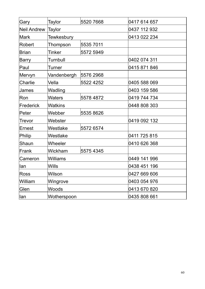| Gary          | <b>Taylor</b>        | 5520 7668 | 0417 614 657 |
|---------------|----------------------|-----------|--------------|
| Neil Andrew   | <b>Taylor</b>        |           | 0437 112 932 |
| <b>Mark</b>   | <b>Tewkesbury</b>    |           | 0413 022 234 |
| Robert        | Thompson             | 5535 7011 |              |
| Brian         | Tinker               | 5572 5949 |              |
| Barry         | <b>Turnbull</b>      |           | 0402 074 311 |
| Paul          | Turner               |           | 0415 871 846 |
| Mervyn        | Vandenbergh          | 5576 2968 |              |
| Charlie       | Vella                | 5522 4252 | 0405 588 069 |
| <b>James</b>  | Wadling              |           | 0403 159 586 |
| lRon          | <b>Waters</b>        | 5578 4872 | 0419 744 734 |
| Frederick     | <b>Watkins</b>       |           | 0448 808 303 |
| Peter         | Webber               | 5535 8626 |              |
| <b>Trevor</b> | Webster              |           | 0419 092 132 |
| ∣Ernest       | Westlake             | 5572 6574 |              |
| Philip        | Westlake             |           | 0411 725 815 |
| Shaun         | Wheeler              |           | 0410 626 368 |
| Frank         | Wickham<br>5575 4345 |           |              |
| Cameron       | Williams             |           | 0449 141 996 |
| llan          | <b>Wills</b>         |           | 0438 451 196 |
| Ross          | Wilson               |           | 0427 669 606 |
| William       | Wingrove             |           | 0403 054 976 |
| Glen          | Woods                |           | 0413 670 820 |
| lan           | Wotherspoon          |           | 0435 808 661 |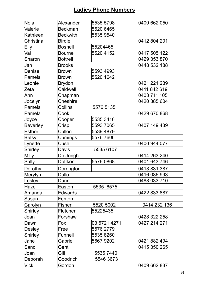# **Ladies Phone Numbers**

| Nola            | Alexander       | 5535 5798    | 0400 662 050 |
|-----------------|-----------------|--------------|--------------|
| Valerie         | <b>Beckman</b>  | 5520 6465    |              |
| Kathleen        | <b>Beckwith</b> | 5535 9540    |              |
| Christina       | <b>Birdie</b>   |              | 0412 804 201 |
| Elly            | <b>Boshell</b>  | 55204465     |              |
| Val             | <b>Bourne</b>   | 5520 4152    | 0417 505 122 |
| Sharon          | <b>Bottrell</b> |              | 0429 353 870 |
| Jan             | <b>Brooks</b>   |              | 0448 532 188 |
| <b>Denise</b>   | <b>Brown</b>    | 5593 4993    |              |
| Pamela          | <b>Brown</b>    | 5520 1642    |              |
| Leonie          | <b>Brydon</b>   |              | 0421 221 239 |
| Zeta            | Caldwell        |              | 0411 842 619 |
| Ann             | Chapman         |              | 0403 711 105 |
| Jocelyn         | <b>Cheshire</b> |              | 0420 385 604 |
| Pamela          | Collins         | 5576 5135    |              |
| Pamela          | Cook            |              | 0429 670 868 |
| Joyce           | Cooper          | 5535 3416    |              |
| <b>Beverley</b> | Crisp           | 5593 7065    | 0407 149 439 |
| Esther          | Cullen          | 5539 4879    |              |
| Betsy           | Cumings         | 5576 7606    |              |
| Lynette         | Cush            |              | 0400 944 077 |
| <b>Shirley</b>  | Davis           | 5535 6107    |              |
| <b>Milly</b>    | De Jongh        |              | 0414 263 240 |
| Sally           | <b>Doffkont</b> | 5576 0868    | 0401 643 746 |
| Dorothy         | Dorrington      |              | 0413 831 387 |
| Merylyn         | <b>Dullo</b>    |              | 0416 086 993 |
| Lesley          | Dunn            |              | 0488 033 710 |
| Hazel           | Easton          | 5535 6575    |              |
| Amanda          | <b>Edwards</b>  |              | 0422 833 887 |
| Susan           | Fenton          |              |              |
| Carolyn         | Fisher          | 5520 5002    | 0414 232 136 |
| <b>Shirley</b>  | Fletcher        | 55225435     |              |
| Jean            | Forshaw         |              | 0428 322 258 |
| Dawn            | Fox             | 03 5721 4271 | 0427 214 271 |
| Desley          | Free            | 5576 2779    |              |
| <b>Shirley</b>  | Funnell         | 5535 8260    |              |
| Jane            | Gabriel         | 5667 9202    | 0421 882 494 |
| Sandi           | Gent            |              | 0415 350 265 |
| Joan            | Gill            | 5535 7440    |              |
| Deborah         | Goodrich        | 5546 3673    |              |
| Vicki           | Gordon          |              | 0409 662 837 |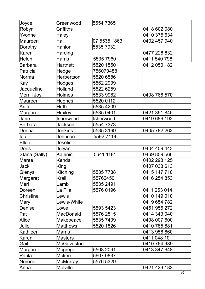| Joyce            | Greenwood         | 5554 7365    |              |
|------------------|-------------------|--------------|--------------|
| Robyn            | Griffiths         |              | 0418 602 080 |
| Yvonne           | <b>Haley</b>      |              | 0410 375 634 |
| Maureen          | Hall              | 07 5535 1863 | 0402 457 940 |
| Dorothy          | Hanlon            | 5535 7932    |              |
| Karen            | <b>Harding</b>    |              | 0477 228 832 |
| Helen            | <b>Harris</b>     | 5535 7960    | 0411 540 798 |
| <b>Barbara</b>   | Hartnett          | 5520 1550    | 0412 050 182 |
| Patricia         | Hedge             | 756070488    |              |
| Norma            | Herbertson        | 5520 6586    |              |
| Kay              | Hodges            | 5562 2999    |              |
| Jacqueline       | Holland           | 5522 6259    |              |
| Merrill Joy      | <b>Holmes</b>     | 5533 9982    | 0408 766 570 |
| Maureen          | <b>Hughes</b>     | 5520 0112    |              |
| Anita            | Huth              | 5535 4209    |              |
| Margaret         | Huxley            | 5535 0401    | 0421 391 845 |
| Jane             | Isherwood         | Isherwood    | 0419 686 192 |
| Barbara          | Jackson           | 5554 7373    |              |
| Donna            | <b>Jenkins</b>    | 5535 3169    | 0405 782 262 |
| Ida              | Johnson           | 5592 7414    |              |
| Ellen            | Joselin           |              |              |
| Doris            | Julyan            |              | 0404 409 443 |
| Stana (Sally)    | Kalenic           | 5641 1181    | 0469 859 566 |
| Maree            | Kendal            |              | 0402 298 125 |
| Jacki            | King              |              | 0407 033 613 |
| Glenys           | Kitching          | 5535 7738    | 0415 147 710 |
| Margaret         | Krall             | 55762450     | 0416 254 853 |
| Merl             | _amb              | 5535 2491    |              |
| Doreen           | La Pila           | 5576 0196    | 0411 253 014 |
| <b>Christine</b> | ewis              |              | 0410 149 010 |
| <b>Mary</b>      | ewis-White        |              | 0419 654 782 |
| Denise           | Lowe              | 5593 5423    | 0451 955 272 |
| Pat              | MacDonald         | 5576 2515    | 0414 343 040 |
| Alice            | Makepeace         | 55357409     | 0408 007 600 |
| Julie            | <b>Matthews</b>   | 5520 1826    | 0410 785 881 |
| Kathleen         | <b>Marris</b>     |              | 0413 958 860 |
| Karen            | <b>Masters</b>    |              | 0411 048 101 |
| Gail             | <b>McGaveston</b> |              | 0410 764 989 |
| Margaret         | Mcgregor          | 5508 2091    | 0413 347 648 |
| Paula            | <b>Mckerr</b>     | 5607 0837    |              |
| Noreen           | <b>McMurray</b>   | 5576 5329    |              |
| Anna             | <b>Melville</b>   |              | 0421 423 182 |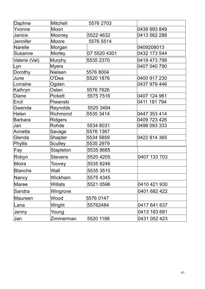| Daphne          | <b>Mitchell</b> | 5576 2703    |              |
|-----------------|-----------------|--------------|--------------|
| Yvonne          | Moon            |              | 0439 993 849 |
| Janice          | Mooney          | 5522 4632    | 0413 562 288 |
| <b>Jennifer</b> | Moore           | 5576 5514    |              |
| Narelle         | Morgan          |              | 0409208013   |
| <b>Susanne</b>  | <b>Morley</b>   | 07 5520 4301 | 0432 173 544 |
| Valerie (Val)   | <b>Murphy</b>   | 5535 2370    | 0419 473 799 |
| Lyn             | <b>Myers</b>    |              | 0407 040 790 |
| Dorothy         | <b>Nielsen</b>  | 5576 8004    |              |
| June            | O'Dea           | 5520 1876    | 0400 917 230 |
| Lorraine        | Ogden           |              | 0437 979 446 |
| Kathryn         | Oslen           | 5576 7626    |              |
| Diane           | <b>Pickett</b>  | 5575 7516    | 0407 124 961 |
| Ercil           | Piwanski        |              | 0411 181 794 |
| Gwenda          | <b>Reynolds</b> | 5520 3494    |              |
| Helen           | Richmond        | 5535 3414    | 0447 353 414 |
| Barbara         | <b>Ridgers</b>  |              | 0409 723 426 |
| Jan             | Rohde           | 5534 8031    | 0498 093 333 |
| Annette         | Savage          | 5576 1367    |              |
| Glenda          | <b>Shapter</b>  | 5534 5859    | 0422 814 365 |
| Phyllis         | <b>Sculley</b>  | 5535 2979    |              |
| Fay             | Stapleton       | 5535 8685    |              |
| Robyn           | <b>Stevens</b>  | 5520 4205    | 0407 133 703 |
| Moira           | Toovey          | 5535 8246    |              |
| Blanche         | Wall            | 5535 3510    |              |
| Nancy           | Wickham         | 5575 4345    |              |
| Maree           | Willats         | 5521 0596    | 0410 421 930 |
| Sandra          | Wingrove        |              | 0401 682 422 |
| Maureen         | Wood            | 5576 0147    |              |
| Lana            | Wright          | 55762484     | 0417 641 637 |
| Jenny           | Young           |              | 0413 183 681 |
| Jan             | Zimmerman       | 5520 1198    | 0431 052 423 |